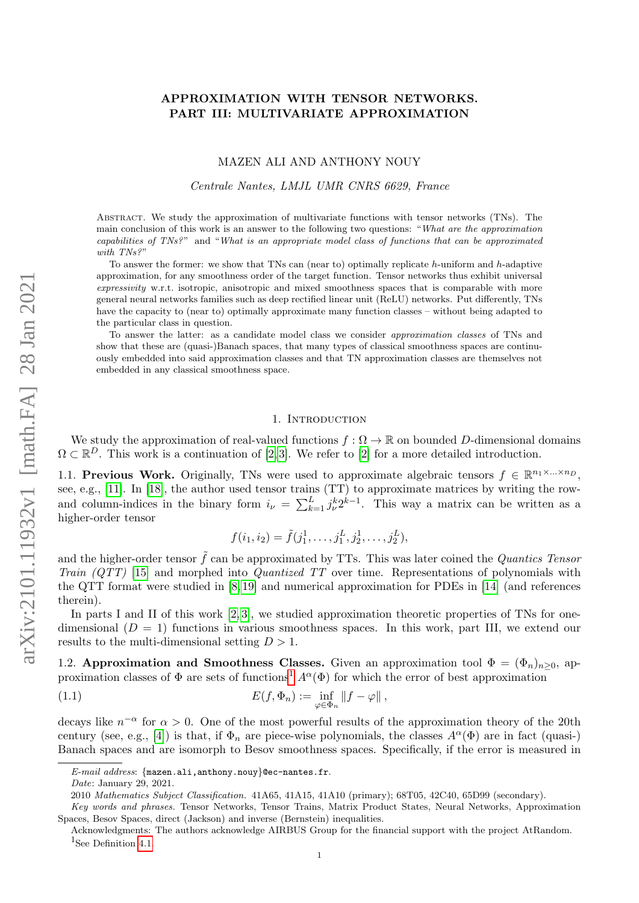# APPROXIMATION WITH TENSOR NETWORKS. PART III: MULTIVARIATE APPROXIMATION

#### MAZEN ALI AND ANTHONY NOUY

Centrale Nantes, LMJL UMR CNRS 6629, France

Abstract. We study the approximation of multivariate functions with tensor networks (TNs). The main conclusion of this work is an answer to the following two questions: "What are the approximation capabilities of TNs?" and "What is an appropriate model class of functions that can be approximated with TNs?"

To answer the former: we show that TNs can (near to) optimally replicate  $h$ -uniform and  $h$ -adaptive approximation, for any smoothness order of the target function. Tensor networks thus exhibit universal expressivity w.r.t. isotropic, anisotropic and mixed smoothness spaces that is comparable with more general neural networks families such as deep rectified linear unit (ReLU) networks. Put differently, TNs have the capacity to (near to) optimally approximate many function classes – without being adapted to the particular class in question.

To answer the latter: as a candidate model class we consider approximation classes of TNs and show that these are (quasi-)Banach spaces, that many types of classical smoothness spaces are continuously embedded into said approximation classes and that TN approximation classes are themselves not embedded in any classical smoothness space.

### 1. Introduction

We study the approximation of real-valued functions  $f: \Omega \to \mathbb{R}$  on bounded D-dimensional domains  $\Omega \subset \mathbb{R}^D$ . This work is a continuation of [\[2,](#page-21-0)3]. We refer to [\[2\]](#page-21-0) for a more detailed introduction.

1.1. Previous Work. Originally, TNs were used to approximate algebraic tensors  $f \in \mathbb{R}^{n_1 \times ... \times n_p}$ , see, e.g., [\[11\]](#page-21-2). In [\[18\]](#page-21-3), the author used tensor trains (TT) to approximate matrices by writing the rowand column-indices in the binary form  $i_{\nu} = \sum_{k=1}^{L} j_{\nu}^{k} 2^{k-1}$ . This way a matrix can be written as a higher-order tensor

$$
f(i_1, i_2) = \tilde{f}(j_1^1, \dots, j_1^L, j_2^1, \dots, j_2^L),
$$

and the higher-order tensor  $\tilde{f}$  can be approximated by TTs. This was later coined the *Quantics Tensor* Train  $(QTT)$  [\[15\]](#page-21-4) and morphed into *Quantized TT* over time. Representations of polynomials with the QTT format were studied in [\[8,](#page-21-5) [19\]](#page-21-6) and numerical approximation for PDEs in [\[14\]](#page-21-7) (and references therein).

In parts I and II of this work  $[2, 3]$  $[2, 3]$ , we studied approximation theoretic properties of TNs for onedimensional  $(D = 1)$  functions in various smoothness spaces. In this work, part III, we extend our results to the multi-dimensional setting  $D > 1$ .

1.2. Approximation and Smoothness Classes. Given an approximation tool  $\Phi = (\Phi_n)_{n>0}$ , approximation classes of  $\Phi$  are sets of functions<sup>[1](#page-0-0)</sup>  $A^{\alpha}(\Phi)$  for which the error of best approximation

<span id="page-0-1"></span>(1.1) 
$$
E(f, \Phi_n) := \inf_{\varphi \in \Phi_n} ||f - \varphi||,
$$

decays like  $n^{-\alpha}$  for  $\alpha > 0$ . One of the most powerful results of the approximation theory of the 20th century (see, e.g., [\[4\]](#page-21-8)) is that, if  $\Phi_n$  are piece-wise polynomials, the classes  $A^{\alpha}(\Phi)$  are in fact (quasi-) Banach spaces and are isomorph to Besov smoothness spaces. Specifically, if the error is measured in

E-mail address: {mazen.ali,anthony.nouy}@ec-nantes.fr.

Date: January 29, 2021.

<sup>2010</sup> Mathematics Subject Classification. 41A65, 41A15, 41A10 (primary); 68T05, 42C40, 65D99 (secondary).

Key words and phrases. Tensor Networks, Tensor Trains, Matrix Product States, Neural Networks, Approximation Spaces, Besov Spaces, direct (Jackson) and inverse (Bernstein) inequalities.

<span id="page-0-0"></span>Acknowledgments: The authors acknowledge AIRBUS Group for the financial support with the project AtRandom. <sup>1</sup>See Definition [4.1.](#page-5-0)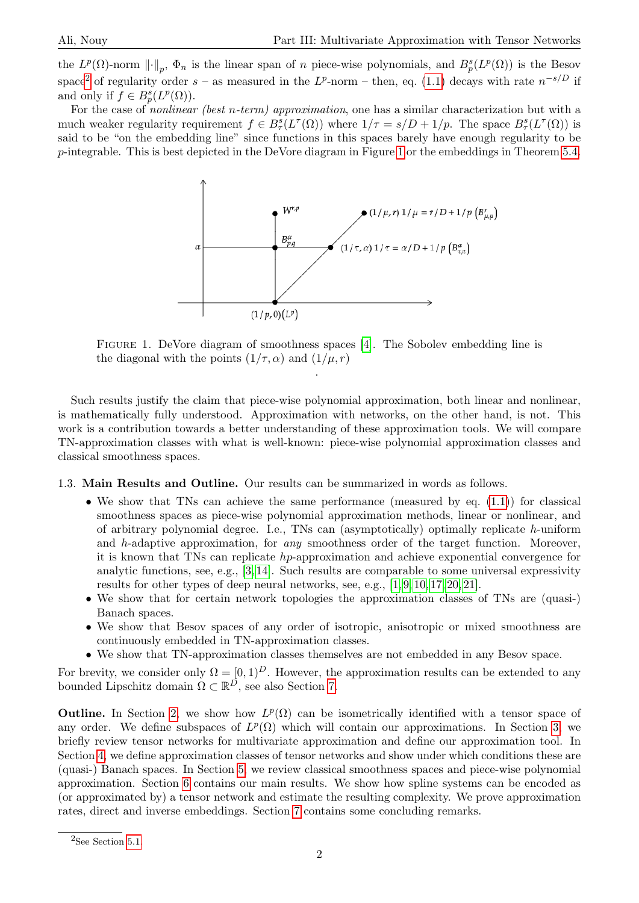the  $L^p(\Omega)$ -norm  $\lVert \cdot \rVert_p$ ,  $\Phi_n$  is the linear span of n piece-wise polynomials, and  $B_p^s(L^p(\Omega))$  is the Besov space<sup>[2](#page-1-0)</sup> of regularity order  $s$  – as measured in the  $L^p$ -norm – then, eq. [\(1.1\)](#page-0-1) decays with rate  $n^{-s/D}$  if and only if  $f \in B_p^s(L^p(\Omega))$ .

<span id="page-1-1"></span>For the case of *nonlinear (best n-term) approximation*, one has a similar characterization but with a much weaker regularity requirement  $f \in B^s_\tau(L^\tau(\Omega))$  where  $1/\tau = s/D + 1/p$ . The space  $B^s_\tau(L^\tau(\Omega))$  is said to be "on the embedding line" since functions in this spaces barely have enough regularity to be p-integrable. This is best depicted in the DeVore diagram in Figure [1](#page-1-1) or the embeddings in Theorem [5.4.](#page-12-0)



Figure 1. DeVore diagram of smoothness spaces [\[4\]](#page-21-8). The Sobolev embedding line is the diagonal with the points  $(1/\tau, \alpha)$  and  $(1/\mu, r)$ 

.

Such results justify the claim that piece-wise polynomial approximation, both linear and nonlinear, is mathematically fully understood. Approximation with networks, on the other hand, is not. This work is a contribution towards a better understanding of these approximation tools. We will compare TN-approximation classes with what is well-known: piece-wise polynomial approximation classes and classical smoothness spaces.

1.3. Main Results and Outline. Our results can be summarized in words as follows.

- We show that TNs can achieve the same performance (measured by eq.  $(1.1)$ ) for classical smoothness spaces as piece-wise polynomial approximation methods, linear or nonlinear, and of arbitrary polynomial degree. I.e., TNs can (asymptotically) optimally replicate h-uniform and h-adaptive approximation, for any smoothness order of the target function. Moreover, it is known that TNs can replicate hp-approximation and achieve exponential convergence for analytic functions, see, e.g., [\[3,](#page-21-1) [14\]](#page-21-7). Such results are comparable to some universal expressivity results for other types of deep neural networks, see, e.g., [\[1,](#page-21-9) [9,](#page-21-10) [10,](#page-21-11) [17,](#page-21-12) [20,](#page-21-13) [21\]](#page-21-14).
- We show that for certain network topologies the approximation classes of TNs are (quasi-) Banach spaces.
- We show that Besov spaces of any order of isotropic, anisotropic or mixed smoothness are continuously embedded in TN-approximation classes.
- We show that TN-approximation classes themselves are not embedded in any Besov space.

For brevity, we consider only  $\Omega = [0, 1]^D$ . However, the approximation results can be extended to any bounded Lipschitz domain  $\Omega \subset \mathbb{R}^D$ , see also Section [7.](#page-20-0)

**Outline.** In Section [2,](#page-2-0) we show how  $L^p(\Omega)$  can be isometrically identified with a tensor space of any order. We define subspaces of  $L^p(\Omega)$  which will contain our approximations. In Section [3,](#page-3-0) we briefly review tensor networks for multivariate approximation and define our approximation tool. In Section [4,](#page-5-1) we define approximation classes of tensor networks and show under which conditions these are (quasi-) Banach spaces. In Section [5,](#page-8-0) we review classical smoothness spaces and piece-wise polynomial approximation. Section [6](#page-13-0) contains our main results. We show how spline systems can be encoded as (or approximated by) a tensor network and estimate the resulting complexity. We prove approximation rates, direct and inverse embeddings. Section [7](#page-20-0) contains some concluding remarks.

<span id="page-1-0"></span> ${}^{2}$ See Section [5.1.](#page-9-0)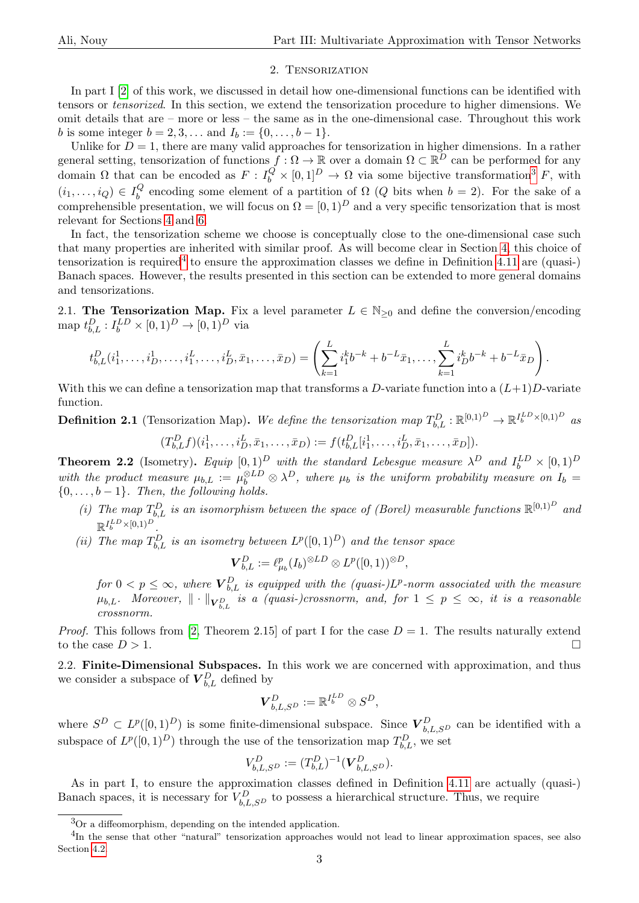### 2. Tensorization

<span id="page-2-0"></span>In part I [\[2\]](#page-21-0) of this work, we discussed in detail how one-dimensional functions can be identified with tensors or tensorized. In this section, we extend the tensorization procedure to higher dimensions. We omit details that are – more or less – the same as in the one-dimensional case. Throughout this work *b* is some integer  $b = 2, 3, ...$  and  $I_b := \{0, ..., b - 1\}.$ 

Unlike for  $D = 1$ , there are many valid approaches for tensorization in higher dimensions. In a rather general setting, tensorization of functions  $f: \Omega \to \mathbb{R}$  over a domain  $\Omega \subset \mathbb{R}^D$  can be performed for any domain  $\Omega$  that can be encoded as  $F: I_b^Q \times [0,1]^D \to \Omega$  via some bijective transformation<sup>[3](#page-2-1)</sup> F, with  $(i_1,\ldots,i_Q)\in I_b^Q$  $b<sub>b</sub>$  encoding some element of a partition of  $\Omega$  (Q bits when  $b = 2$ ). For the sake of a comprehensible presentation, we will focus on  $\Omega = [0, 1)^D$  and a very specific tensorization that is most relevant for Sections [4](#page-5-1) and [6.](#page-13-0)

In fact, the tensorization scheme we choose is conceptually close to the one-dimensional case such that many properties are inherited with similar proof. As will become clear in Section [4,](#page-5-1) this choice of tensorization is required<sup>[4](#page-2-2)</sup> to ensure the approximation classes we define in Definition [4.11](#page-8-1) are (quasi-) Banach spaces. However, the results presented in this section can be extended to more general domains and tensorizations.

2.1. The Tensorization Map. Fix a level parameter  $L \in \mathbb{N}_{\geq 0}$  and define the conversion/encoding map  $t_{b,L}^D: I_b^{LD} \times [0,1)^D \to [0,1)^D$  via

$$
t_{b,L}^D(i_1^1,\ldots,i_D^1,\ldots,i_1^L,\ldots,i_D^L,\bar{x}_1,\ldots,\bar{x}_D) = \left(\sum_{k=1}^L i_1^k b^{-k} + b^{-L} \bar{x}_1,\ldots,\sum_{k=1}^L i_D^k b^{-k} + b^{-L} \bar{x}_D\right).
$$

With this we can define a tensorization map that transforms a D-variate function into a  $(L+1)D$ -variate function.

<span id="page-2-3"></span>**Definition 2.1** (Tensorization Map). We define the tensorization map  $T_{b,L}^D : \mathbb{R}^{[0,1)^D} \to \mathbb{R}^{I_b^L \times [0,1)^D}$  as  $(T_{b,L}^D f)(i_1^1, \ldots, i_D^L, \bar{x}_1, \ldots, \bar{x}_D) := f(t_{b,L}^D[i_1^1, \ldots, i_D^L, \bar{x}_1, \ldots, \bar{x}_D]).$ 

**Theorem 2.2** (Isometry). Equip  $[0,1]^D$  with the standard Lebesgue measure  $\lambda^D$  and  $I_b^{LD} \times [0,1)^D$ with the product measure  $\mu_{b,L} := \mu_b^{\otimes LD} \otimes \lambda^D$ , where  $\mu_b$  is the uniform probability measure on  $I_b =$  $\{0, \ldots, b-1\}$ . Then, the following holds.

- (i) The map  $T_{b,L}^D$  is an isomorphism between the space of (Borel) measurable functions  $\mathbb{R}^{[0,1)^D}$  and  $\mathbb{R}^{I_b^{LD} \times [0,1)^D}$ .
- (ii) The map  $T_{b,L}^D$  is an isometry between  $L^p([0,1)^D)$  and the tensor space

$$
\boldsymbol{V}_{b,L}^{D}:=\ell_{\mu_b}^p(I_b)^{\otimes LD}\otimes L^p([0,1))^{\otimes D},
$$

for  $0 < p \leq \infty$ , where  $\boldsymbol{V}_{b,L}^D$  is equipped with the (quasi-)L<sup>p</sup>-norm associated with the measure  $\mu_{b,L}.$  Moreover,  $\|\cdot\|_{\bm{V}_{b,L}^D}$  is a (quasi-)crossnorm, and, for  $1\leq p\leq\infty$ , it is a reasonable crossnorm.

*Proof.* This follows from [\[2,](#page-21-0) Theorem 2.15] of part I for the case  $D = 1$ . The results naturally extend to the case  $D > 1$ .

2.2. Finite-Dimensional Subspaces. In this work we are concerned with approximation, and thus we consider a subspace of  $\mathbf{\overline{V}}_{b,L}^{D}$  defined by

$$
\bm{V}^D_{b,L,S^D}:=\mathbb{R}^{I_b^{LD}}\otimes S^D,
$$

where  $S^D \subset L^p([0,1)^D)$  is some finite-dimensional subspace. Since  $\mathbf{V}_{b,L,S^D}^D$  can be identified with a subspace of  $L^p([0,1]^D)$  through the use of the tensorization map  $T_{b,L}^D$ , we set

$$
V_{b,L,S^D}^D := (T_{b,L}^D)^{-1} (\mathbf{V}_{b,L,S^D}^D).
$$

As in part I, to ensure the approximation classes defined in Definition [4.11](#page-8-1) are actually (quasi-) Banach spaces, it is necessary for  $V_{b,L,SD}^D$  to possess a hierarchical structure. Thus, we require

<span id="page-2-2"></span><span id="page-2-1"></span><sup>3</sup>Or a diffeomorphism, depending on the intended application.

<sup>&</sup>lt;sup>4</sup>In the sense that other "natural" tensorization approaches would not lead to linear approximation spaces, see also Section [4.2.](#page-6-0)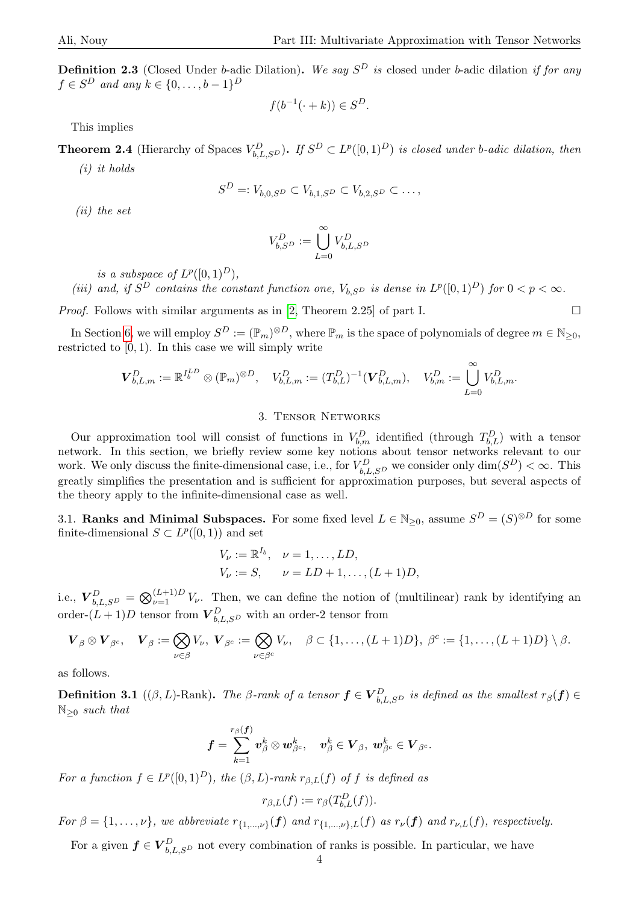**Definition 2.3** (Closed Under b-adic Dilation). We say  $S^D$  is closed under b-adic dilation if for any  $f \in S^D$  and any  $k \in \{0, \ldots, b-1\}^D$ 

$$
f(b^{-1}(\cdot + k)) \in S^D.
$$

This implies

<span id="page-3-2"></span>**Theorem 2.4** (Hierarchy of Spaces  $V_{b,L,SD}^D$ ). If  $S^D \subset L^p([0,1)^D)$  is closed under b-adic dilation, then

(i) it holds

$$
S^D =: V_{b,0,S^D} \subset V_{b,1,S^D} \subset V_{b,2,S^D} \subset \dots,
$$

(ii) the set

$$
V_{b, S^D}^D := \bigcup_{L=0}^\infty V_{b, L, S^D}^D
$$

is a subspace of  $L^p([0,1]^D)$ ,

(iii) and, if  $S^D$  contains the constant function one,  $V_{b,S^D}$  is dense in  $L^p([0,1)^D)$  for  $0 < p < \infty$ .

*Proof.* Follows with similar arguments as in [\[2,](#page-21-0) Theorem 2.25] of part I.

In Section [6,](#page-13-0) we will employ  $S^D := (\mathbb{P}_m)^{\otimes D}$ , where  $\mathbb{P}_m$  is the space of polynomials of degree  $m \in \mathbb{N}_{\geq 0}$ , restricted to  $[0, 1)$ . In this case we will simply write

$$
\bm{V}_{b,L,m}^D := \mathbb{R}^{I_b^{LD}} \otimes (\mathbb{P}_m)^{\otimes D}, \quad V_{b,L,m}^D := (T_{b,L}^D)^{-1} (\bm{V}_{b,L,m}^D), \quad V_{b,m}^D := \bigcup_{L=0}^{\infty} V_{b,L,m}^D.
$$

### 3. Tensor Networks

<span id="page-3-0"></span>Our approximation tool will consist of functions in  $V_{b,m}^D$  identified (through  $T_{b,L}^D$ ) with a tensor network. In this section, we briefly review some key notions about tensor networks relevant to our work. We only discuss the finite-dimensional case, i.e., for  $V_{b,L,S^D}^D$  we consider only  $\dim(S^D) < \infty$ . This greatly simplifies the presentation and is sufficient for approximation purposes, but several aspects of the theory apply to the infinite-dimensional case as well.

3.1. Ranks and Minimal Subspaces. For some fixed level  $L \in \mathbb{N}_{\geq 0}$ , assume  $S^D = (S)^{\otimes D}$  for some finite-dimensional  $S \subset L^p([0,1))$  and set

$$
V_{\nu} := \mathbb{R}^{I_b}, \quad \nu = 1, ..., LD,
$$
  
\n
$$
V_{\nu} := S, \qquad \nu = LD + 1, ..., (L + 1)D,
$$

i.e.,  $\mathbf{V}_{b,L,SD}^D = \bigotimes_{\nu=1}^{(L+1)D} V_{\nu}$ . Then, we can define the notion of (multilinear) rank by identifying an order- $(L+1)D$  tensor from  $\mathbf{V}_{b,L,SD}^D$  with an order-2 tensor from

$$
\boldsymbol{V}_{\beta} \otimes \boldsymbol{V}_{\beta^c}, \quad \boldsymbol{V}_{\beta} := \bigotimes_{\nu \in \beta} V_{\nu}, \ \boldsymbol{V}_{\beta^c} := \bigotimes_{\nu \in \beta^c} V_{\nu}, \quad \beta \subset \{1, \ldots, (L+1)D\}, \ \beta^c := \{1, \ldots, (L+1)D\} \setminus \beta.
$$

<span id="page-3-1"></span>as follows.

**Definition 3.1** (( $\beta$ , L)-Rank). The  $\beta$ -rank of a tensor  $f \in V_{b,L,S^D}^D$  is defined as the smallest  $r_\beta(f) \in$  $\mathbb{N}_{\geq 0}$  such that

$$
\bm{f}=\sum_{k=1}^{r_\beta(\bm{f})}\bm{v}^k_\beta\otimes \bm{w}^k_{\beta^c},\quad \bm{v}^k_\beta\in \bm{V}_\beta,\ \bm{w}^k_{\beta^c}\in \bm{V}_{\beta^c}.
$$

For a function  $f \in L^p([0,1)^D)$ , the  $(\beta, L)$ -rank  $r_{\beta, L}(f)$  of f is defined as

$$
r_{\beta,L}(f) := r_{\beta}(T_{b,L}^D(f)).
$$

For  $\beta = \{1,\ldots,\nu\}$ , we abbreviate  $r_{\{1,\ldots,\nu\}}(f)$  and  $r_{\{1,\ldots,\nu\},L}(f)$  as  $r_{\nu}(f)$  and  $r_{\nu,L}(f)$ , respectively.

<span id="page-3-3"></span>For a given  $f \in V_{b,L,S^D}^D$  not every combination of ranks is possible. In particular, we have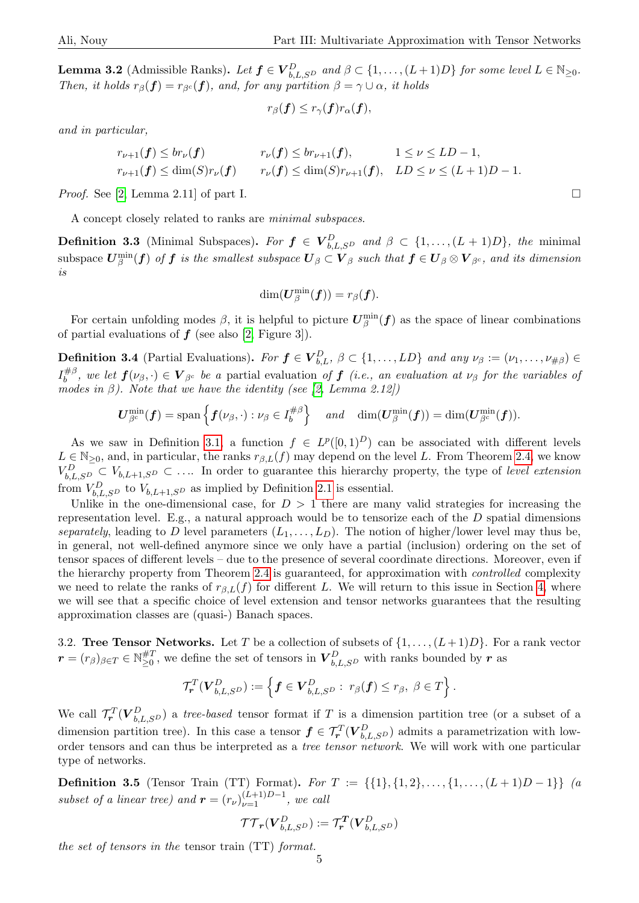**Lemma 3.2** (Admissible Ranks). Let  $f \in V_{b,L,S^D}^D$  and  $\beta \subset \{1,\ldots,(L+1)D\}$  for some level  $L \in \mathbb{N}_{\geq 0}$ . Then, it holds  $r_\beta(f) = r_{\beta^c}(f)$ , and, for any partition  $\beta = \gamma \cup \alpha$ , it holds

$$
r_\beta(\boldsymbol{f}) \leq r_\gamma(\boldsymbol{f}) r_\alpha(\boldsymbol{f}),
$$

and in particular,

$$
r_{\nu+1}(\mathbf{f}) \le br_{\nu}(\mathbf{f}) \qquad \qquad r_{\nu}(\mathbf{f}) \le br_{\nu+1}(\mathbf{f}), \qquad 1 \le \nu \le LD-1,
$$
  
\n
$$
r_{\nu+1}(\mathbf{f}) \le \dim(S)r_{\nu}(\mathbf{f}) \qquad r_{\nu}(\mathbf{f}) \le \dim(S)r_{\nu+1}(\mathbf{f}), \quad LD \le \nu \le (L+1)D-1.
$$

*Proof.* See [\[2,](#page-21-0) Lemma 2.11] of part I.

A concept closely related to ranks are minimal subspaces.

**Definition 3.3** (Minimal Subspaces). For  $f \in V_{b,L,S^D}^D$  and  $\beta \subset \{1,\ldots,(L+1)D\}$ , the minimal subspace  $\bm{U}_{\beta}^{\min}(\bm{f})$  of  $\bm{f}$  is the smallest subspace  $\bm{U}_{\beta} \subset \bm{V}_{\beta}$  such that  $\bm{f} \in \bm{U}_{\beta} \otimes \bm{V}_{\beta^c}$ , and its dimension is

$$
\dim(\boldsymbol{U}_{\beta}^{\min}(\boldsymbol{f}))=r_{\beta}(\boldsymbol{f}).
$$

For certain unfolding modes  $\beta$ , it is helpful to picture  $\bm{U}_{\beta}^{\min}(\bm{f})$  as the space of linear combinations of partial evaluations of  $f$  (see also [\[2,](#page-21-0) Figure 3]).

**Definition 3.4** (Partial Evaluations). For  $f \in V_{b,L}^D$ ,  $\beta \subset \{1,\ldots, LD\}$  and any  $\nu_\beta := (\nu_1, \ldots, \nu_{\#\beta}) \in$  $I_h^{\#\beta}$  $b^{\# \beta}$ , we let  $f(\nu_{\beta},\cdot) \in V_{\beta^c}$  be a partial evaluation of  $f$  (i.e., an evaluation at  $\nu_{\beta}$  for the variables of modes in  $\beta$ ). Note that we have the identity (see [\[2,](#page-21-0) Lemma 2.12])

$$
\boldsymbol{U}_{\beta^c}^{\min}(\boldsymbol{f})=\mathrm{span}\left\{\boldsymbol{f}(\nu_{\beta},\cdot):\nu_{\beta}\in I_b^{\#\beta}\right\}\quad\text{and}\quad\mathrm{dim}(\boldsymbol{U}_{\beta}^{\min}(\boldsymbol{f}))=\mathrm{dim}(\boldsymbol{U}_{\beta^c}^{\min}(\boldsymbol{f})).
$$

As we saw in Definition [3.1,](#page-3-1) a function  $f \in L^p([0,1]^D)$  can be associated with different levels  $L \in \mathbb{N}_{\geq 0}$ , and, in particular, the ranks  $r_{\beta,L}(f)$  may depend on the level L. From Theorem [2.4,](#page-3-2) we know  $V_{b,L,S^D}^D \subset V_{b,L+1,S^D} \subset \ldots$  In order to guarantee this hierarchy property, the type of level extension from  $V_{b,L,S^D}^D$  to  $V_{b,L+1,S^D}$  as implied by Definition [2.1](#page-2-3) is essential.

Unlike in the one-dimensional case, for  $D > 1$  there are many valid strategies for increasing the representation level. E.g., a natural approach would be to tensorize each of the D spatial dimensions separately, leading to D level parameters  $(L_1, \ldots, L_D)$ . The notion of higher/lower level may thus be, in general, not well-defined anymore since we only have a partial (inclusion) ordering on the set of tensor spaces of different levels – due to the presence of several coordinate directions. Moreover, even if the hierarchy property from Theorem [2.4](#page-3-2) is guaranteed, for approximation with controlled complexity we need to relate the ranks of  $r_{\beta,L}(f)$  for different L. We will return to this issue in Section [4,](#page-5-1) where we will see that a specific choice of level extension and tensor networks guarantees that the resulting approximation classes are (quasi-) Banach spaces.

3.2. Tree Tensor Networks. Let T be a collection of subsets of  $\{1, \ldots, (L+1)D\}$ . For a rank vector  $\bm{r}=(r_{\beta})_{\beta\in T}\in\mathbb{N}_{\geq 0}^{\#T}$  $\sharp^T_{\geq 0}$ , we define the set of tensors in  $\boldsymbol{V}^D_{b,L,S^D}$  with ranks bounded by  $\boldsymbol{r}$  as

$$
\mathcal{T}_{\boldsymbol{r}}^T(\boldsymbol{V}_{b,L,S^D}^D):=\left\{\boldsymbol{f}\in \boldsymbol{V}_{b,L,S^D}^D:\ r_\beta(\boldsymbol{f})\leq r_\beta,\ \beta\in T\right\}.
$$

We call  $\mathcal{T}_{r}^{T}(\bm{V}_{b,L,SD}^{D})$  a tree-based tensor format if T is a dimension partition tree (or a subset of a dimension partition tree). In this case a tensor  $f \in \mathcal{T}_r^T(V_{b,L,S^D}^D)$  admits a parametrization with loworder tensors and can thus be interpreted as a tree tensor network. We will work with one particular type of networks.

**Definition 3.5** (Tensor Train (TT) Format). For  $T := \{\{1\}, \{1, 2\}, \ldots, \{1, \ldots, (L+1)D-1\}\}\$  (a subset of a linear tree) and  $\mathbf{r} = (r_{\nu})_{\nu=1}^{(L+1)D-1}$ , we call

$$
\mathcal{TT}_{\bm{r}}(\bm{V}^D_{b,L,S^D}):=\mathcal{T}^{\bm{T}}_{\bm{r}}(\bm{V}^D_{b,L,S^D})
$$

the set of tensors in the tensor train (TT) format.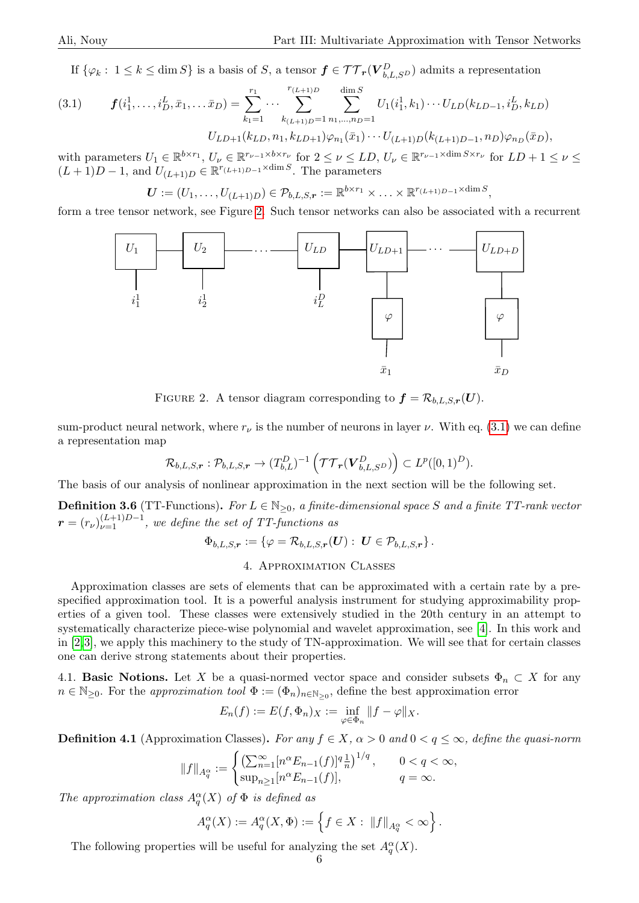If  $\{\varphi_k: 1 \leq k \leq \dim S\}$  is a basis of S, a tensor  $f \in \mathcal{TT}_r(V_{b,L, S^D}^D)$  admits a representation

<span id="page-5-3"></span>(3.1) 
$$
\boldsymbol{f}(i_1^1,\ldots,i_D^L,\bar{x}_1,\ldots,\bar{x}_D) = \sum_{k_1=1}^{r_1} \cdots \sum_{k_{(L+1)D}=1}^{r_{(L+1)D}} \sum_{n_1,\ldots,n_D=1}^{\dim S} U_1(i_1^1,k_1)\cdots U_{LD}(k_{LD-1},i_D^L,k_{LD})
$$

$$
U_{LD+1}(k_{LD},n_1,k_{LD+1})\varphi_{n_1}(\bar{x}_1)\cdots U_{(L+1)D}(k_{(L+1)D-1},n_D)\varphi_{n_D}(\bar{x}_D),
$$

with parameters  $U_1 \in \mathbb{R}^{b \times r_1}$ ,  $U_\nu \in \mathbb{R}^{r_{\nu-1} \times b \times r_{\nu}}$  for  $2 \le \nu \le LD$ ,  $U_\nu \in \mathbb{R}^{r_{\nu-1} \times \dim S \times r_{\nu}}$  for  $LD + 1 \le \nu \le$  $(L+1)D-1$ , and  $U_{(L+1)D} \in \mathbb{R}^{r_{(L+1)D-1} \times \dim S}$ . The parameters

$$
\boldsymbol{U}:=(U_1,\ldots,U_{(L+1)D})\in\mathcal{P}_{b,L,S,r}:=\mathbb{R}^{b\times r_1}\times\ldots\times\mathbb{R}^{r_{(L+1)D-1}\times\dim S},
$$

<span id="page-5-2"></span>form a tree tensor network, see Figure [2.](#page-5-2) Such tensor networks can also be associated with a recurrent



FIGURE 2. A tensor diagram corresponding to  $f = \mathcal{R}_{b,L,S,r}(U)$ .

sum-product neural network, where  $r_{\nu}$  is the number of neurons in layer  $\nu$ . With eq. [\(3.1\)](#page-5-3) we can define a representation map

$$
\mathcal{R}_{b,L,S,r}: \mathcal{P}_{b,L,S,r} \to (T_{b,L}^D)^{-1}\left(\mathcal{TT}_r(\boldsymbol{V}_{b,L,S^D}^D)\right) \subset L^p([0,1)^D).
$$

The basis of our analysis of nonlinear approximation in the next section will be the following set.

<span id="page-5-4"></span>**Definition 3.6** (TT-Functions). For  $L \in \mathbb{N}_{\geq 0}$ , a finite-dimensional space S and a finite TT-rank vector  $\boldsymbol{r} = (r_{\nu})_{\nu=1}^{(L+1)D-1}$ , we define the set of TT-functions as

 $\Phi_{b,L,S,r} := \{ \varphi = \mathcal{R}_{b,L,S,r}(\boldsymbol{U}) : \boldsymbol{U} \in \mathcal{P}_{b,L,S,r} \}.$ 

### 4. Approximation Classes

<span id="page-5-1"></span>Approximation classes are sets of elements that can be approximated with a certain rate by a prespecified approximation tool. It is a powerful analysis instrument for studying approximability properties of a given tool. These classes were extensively studied in the 20th century in an attempt to systematically characterize piece-wise polynomial and wavelet approximation, see [\[4\]](#page-21-8). In this work and in [\[2,](#page-21-0)[3\]](#page-21-1), we apply this machinery to the study of TN-approximation. We will see that for certain classes one can derive strong statements about their properties.

4.1. **Basic Notions.** Let X be a quasi-normed vector space and consider subsets  $\Phi_n \subset X$  for any  $n \in \mathbb{N}_{\geq 0}$ . For the approximation tool  $\Phi := (\Phi_n)_{n \in \mathbb{N}_{\geq 0}}$ , define the best approximation error

$$
E_n(f) := E(f, \Phi_n)_X := \inf_{\varphi \in \Phi_n} ||f - \varphi||_X.
$$

<span id="page-5-0"></span>**Definition 4.1** (Approximation Classes). For any  $f \in X$ ,  $\alpha > 0$  and  $0 < q \leq \infty$ , define the quasi-norm

$$
||f||_{A_q^{\alpha}} := \begin{cases} \left(\sum_{n=1}^{\infty} [n^{\alpha} E_{n-1}(f)]^q \frac{1}{n}\right)^{1/q}, & 0 < q < \infty, \\ \sup_{n \ge 1} [n^{\alpha} E_{n-1}(f)], & q = \infty. \end{cases}
$$

The approximation class  $A_q^{\alpha}(X)$  of  $\Phi$  is defined as

$$
A_q^{\alpha}(X) := A_q^{\alpha}(X, \Phi) := \left\{ f \in X : ||f||_{A_q^{\alpha}} < \infty \right\}.
$$

The following properties will be useful for analyzing the set  $A_q^{\alpha}(X)$ .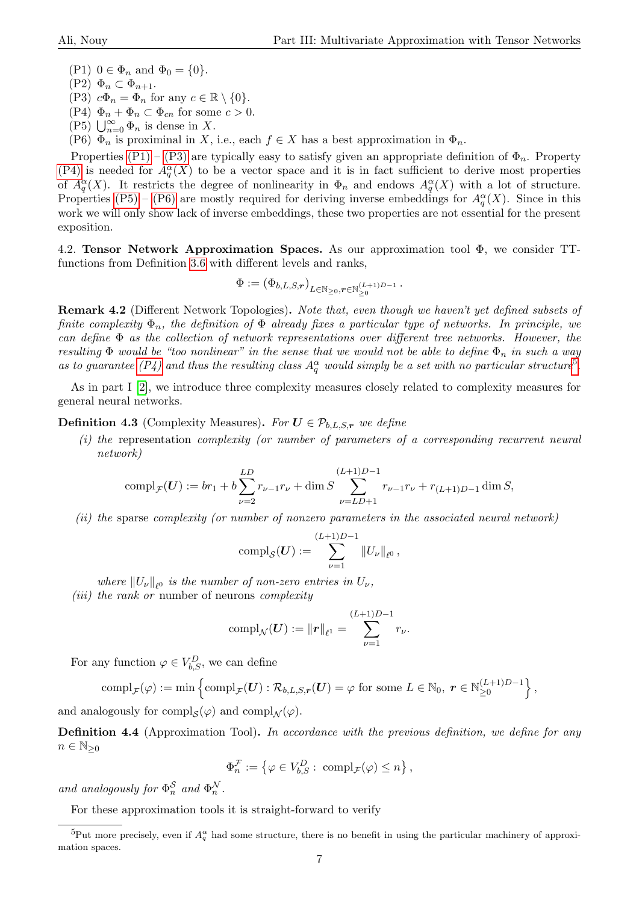<span id="page-6-1"></span>(P1)  $0 \in \Phi_n$  and  $\Phi_0 = \{0\}.$ 

- $(P2) \Phi_n \subset \Phi_{n+1}.$
- <span id="page-6-2"></span>(P3)  $c\Phi_n = \Phi_n$  for any  $c \in \mathbb{R} \setminus \{0\}.$
- <span id="page-6-3"></span>(P4)  $\Phi_n + \Phi_n \subset \Phi_{cn}$  for some  $c > 0$ .
- <span id="page-6-4"></span> $(P5)$   $\bigcup_{n=0}^{\infty} \Phi_n$  is dense in X.
- <span id="page-6-5"></span>(P6)  $\Phi_n$  is proximinal in X, i.e., each  $f \in X$  has a best approximation in  $\Phi_n$ .

Properties [\(P1\)](#page-6-1) – [\(P3\)](#page-6-2) are typically easy to satisfy given an appropriate definition of  $\Phi_n$ . Property [\(P4\)](#page-6-3) is needed for  $A_q^{\alpha}(X)$  to be a vector space and it is in fact sufficient to derive most properties of  $A_q^{\alpha}(X)$ . It restricts the degree of nonlinearity in  $\Phi_n$  and endows  $A_q^{\alpha}(X)$  with a lot of structure. Properties [\(P5\)](#page-6-4) – [\(P6\)](#page-6-5) are mostly required for deriving inverse embeddings for  $A_q^{\alpha}(X)$ . Since in this work we will only show lack of inverse embeddings, these two properties are not essential for the present exposition.

<span id="page-6-0"></span>4.2. Tensor Network Approximation Spaces. As our approximation tool Φ, we consider TTfunctions from Definition [3.6](#page-5-4) with different levels and ranks,

$$
\Phi:=\left(\Phi_{b,L,S,\boldsymbol{r}}\right)_{L\in\mathbb{N}_{\geq 0},\boldsymbol{r}\in\mathbb{N}_{\geq 0}^{(L+1)D-1}}.
$$

Remark 4.2 (Different Network Topologies). Note that, even though we haven't yet defined subsets of finite complexity  $\Phi_n$ , the definition of  $\Phi$  already fixes a particular type of networks. In principle, we can define  $\Phi$  as the collection of network representations over different tree networks. However, the resulting  $\Phi$  would be "too nonlinear" in the sense that we would not be able to define  $\Phi_n$  in such a way as to guarantee [\(P4\)](#page-6-3) and thus the resulting class  $A_q^{\alpha}$  would simply be a set with no particular structure<sup>[5](#page-6-6)</sup>.

As in part I [\[2\]](#page-21-0), we introduce three complexity measures closely related to complexity measures for general neural networks.

**Definition 4.3** (Complexity Measures). For  $U \in \mathcal{P}_{b,L,S,r}$  we define

(i) the representation complexity (or number of parameters of a corresponding recurrent neural network)

$$
\text{compl}_{\mathcal{F}}(\boldsymbol{U}) := br_1 + b \sum_{\nu=2}^{LD} r_{\nu-1} r_{\nu} + \dim S \sum_{\nu=LD+1}^{(L+1)D-1} r_{\nu-1} r_{\nu} + r_{(L+1)D-1} \dim S,
$$

(ii) the sparse complexity (or number of nonzero parameters in the associated neural network)

$$
\text{compl}_{\mathcal{S}}(\bm{U}) := \sum_{\nu=1}^{(L+1)D-1} \|U_{\nu}\|_{\ell^0},
$$

where  $||U_{\nu}||_{\ell^0}$  is the number of non-zero entries in  $U_{\nu}$ ,

(*iii*) the rank or number of neurons complexity

$$
\mathrm{compl}_{\mathcal{N}}(\bm{U}) := \|\bm{r}\|_{\ell^1} = \sum_{\nu=1}^{(L+1)D-1} r_{\nu}.
$$

For any function  $\varphi \in V_{b,S}^D$ , we can define

$$
\operatorname{compl}_{\mathcal{F}}(\varphi) := \min \left\{ \operatorname{compl}_{\mathcal{F}}(\boldsymbol{U}) : \mathcal{R}_{b,L,S,\boldsymbol{r}}(\boldsymbol{U}) = \varphi \text{ for some } L \in \mathbb{N}_0, \ \boldsymbol{r} \in \mathbb{N}_{\geq 0}^{(L+1)D-1} \right\},\
$$

and analogously for  $\text{compl}_{\mathcal{S}}(\varphi)$  and  $\text{compl}_{\mathcal{N}}(\varphi)$ .

<span id="page-6-8"></span>Definition 4.4 (Approximation Tool). In accordance with the previous definition, we define for any  $n \in \mathbb{N}_{\geq 0}$ 

$$
\Phi_n^{\mathcal{F}} := \left\{ \varphi \in V_{b,S}^D : \text{ compl}_{\mathcal{F}}(\varphi) \leq n \right\},\
$$

and analogously for  $\Phi_n^{\mathcal{S}}$  and  $\Phi_n^{\mathcal{N}}$ .

For these approximation tools it is straight-forward to verify

<span id="page-6-7"></span><span id="page-6-6"></span><sup>&</sup>lt;sup>5</sup>Put more precisely, even if  $A_q^{\alpha}$  had some structure, there is no benefit in using the particular machinery of approximation spaces.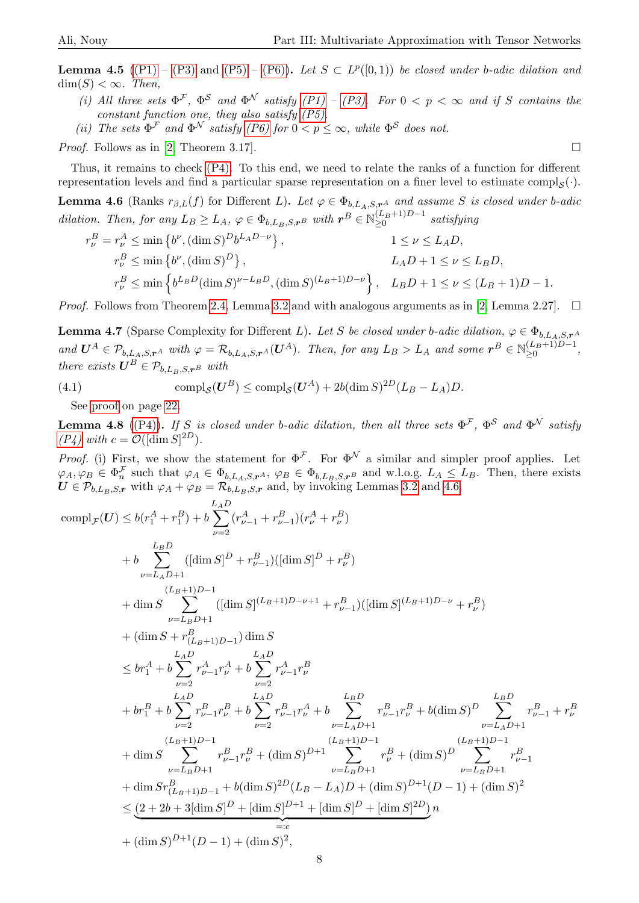**Lemma 4.5** [\(\(P1\)](#page-6-1) – [\(P3\)](#page-6-2) and [\(P5\)](#page-6-4) – [\(P6\)\)](#page-6-5). Let  $S \subset L^p([0,1))$  be closed under b-adic dilation and  $\dim(S) < \infty$ . Then,

- (i) All three sets  $\Phi^{\mathcal{F}}$ ,  $\Phi^{\mathcal{S}}$  and  $\Phi^{\mathcal{N}}$  satisfy [\(P1\)](#page-6-1) – [\(P3\).](#page-6-2) For  $0 < p < \infty$  and if S contains the constant function one, they also satisfy  $(P5)$ .
- (ii) The sets  $\Phi^{\mathcal{F}}$  and  $\Phi^{\mathcal{N}}$  satisfy [\(P6\)](#page-6-5) for  $0 < p \leq \infty$ , while  $\Phi^{\mathcal{S}}$  does not.

*Proof.* Follows as in [\[2,](#page-21-0) Theorem 3.17].

Thus, it remains to check [\(P4\).](#page-6-3) To this end, we need to relate the ranks of a function for different representation levels and find a particular sparse representation on a finer level to estimate  $\text{compl}_{\mathcal{S}}(\cdot)$ .

<span id="page-7-0"></span>**Lemma 4.6** (Ranks  $r_{\beta,L}(f)$  for Different L). Let  $\varphi \in \Phi_{b,L_A,S,r^A}$  and assume S is closed under b-adic dilation. Then, for any  $L_B \geq L_A$ ,  $\varphi \in \Phi_{b,L_B,S,r^B}$  with  $r^B \in \mathbb{N}_{\geq 0}^{(L_B+1)D-1}$  $\geq 0$  satisfying

$$
r_{\nu}^{B} = r_{\nu}^{A} \le \min \left\{ b^{\nu}, (\dim S)^{D} b^{L_{A}D - \nu} \right\},
$$
  
\n
$$
r_{\nu}^{B} \le \min \left\{ b^{\nu}, (\dim S)^{D} \right\},
$$
  
\n
$$
r_{\nu}^{B} \le \min \left\{ b^{L_{B}D} (\dim S)^{\nu - L_{B}D}, (\dim S)^{(L_{B}+1)D - \nu} \right\},
$$
  
\n
$$
L_{A}D + 1 \le \nu \le L_{B}D,
$$
  
\n
$$
L_{B}D + 1 \le \nu \le (L_{B} + 1)D - 1.
$$

*Proof.* Follows from Theorem [2.4,](#page-3-2) Lemma [3.2](#page-3-3) and with analogous arguments as in [\[2,](#page-21-0) Lemma 2.27].  $\square$ 

<span id="page-7-1"></span>**Lemma 4.7** (Sparse Complexity for Different L). Let S be closed under b-adic dilation,  $\varphi \in \Phi_{b,L_A,S,r^A}$ and  $\mathbf{U}^A \in \mathcal{P}_{b,L_A,S,r^A}$  with  $\varphi = \mathcal{R}_{b,L_A,S,r^A}(\mathbf{U}^A)$ . Then, for any  $L_B > L_A$  and some  $\mathbf{r}^B \in \mathbb{N}_{\geq 0}^{(L_B+1)D-1}$  $\geq 0$ ,  $\geq 0$ ,  $\geq 0$ ,  $\geq 0$ there exists  $\mathbf{U}^B \in \mathcal{P}_{b,L,B,S,n}$  with

(4.1) 
$$
\text{compl}_{\mathcal{S}}(U^B) \leq \text{compl}_{\mathcal{S}}(U^A) + 2b(\text{dim } S)^{2D}(L_B - L_A)D.
$$

See [proof](#page-21-15) on page [22.](#page-21-15)

<span id="page-7-2"></span>**Lemma 4.8** [\(\(P4\)\)](#page-6-3). If S is closed under b-adic dilation, then all three sets  $\Phi^{\mathcal{F}}$ ,  $\Phi^{\mathcal{S}}$  and  $\Phi^{\mathcal{N}}$  satisfy  $(P_4)$  with  $c = \mathcal{O}([\dim S]^{2D}).$ 

*Proof.* (i) First, we show the statement for  $\Phi^{\mathcal{F}}$ . For  $\Phi^{\mathcal{N}}$  a similar and simpler proof applies. Let  $\varphi_A, \varphi_B \in \Phi_n^{\mathcal{F}}$  such that  $\varphi_A \in \Phi_{b, L_A, S, r^A}$ ,  $\varphi_B \in \Phi_{b, L_B, S, r^B}$  and w.l.o.g.  $L_A \leq L_B$ . Then, there exists  $U \in \mathcal{P}_{b,L_B,S,r}$  with  $\varphi_A + \varphi_B = \mathcal{R}_{b,L_B,S,r}$  and, by invoking Lemmas [3.2](#page-3-3) and [4.6,](#page-7-0)

$$
compl_{\mathcal{F}}(U) \leq b(r_1^A + r_1^B) + b \sum_{\nu=2}^{L_A D} (r_{\nu-1}^A + r_{\nu-1}^B)(r_{\nu}^A + r_{\nu}^B)
$$
  
+  $b \sum_{\nu=L_A D+1}^{L_B D} ([\dim S]^D + r_{\nu-1}^B)([\dim S]^D + r_{\nu}^B)$   
+  $\dim S \sum_{\nu=L_B D+1} ([\dim S]^{(L_B+1)D-\nu+1} + r_{\nu-1}^B)([\dim S]^{(L_B+1)D-\nu} + r_{\nu}^B)$   
+  $(\dim S + r_{(L_B+1)D-1}^B) \dim S$   
 $\leq br_1^A + b \sum_{\nu=2}^{L_A D} r_{\nu-1}^A r_{\nu}^A + b \sum_{\nu=2}^{L_A D} r_{\nu-1}^A r_{\nu}^B$   
+  $br_1^B + b \sum_{\nu=2}^{L_A D} r_{\nu-1}^B r_{\nu}^B + b \sum_{\nu=2}^{L_A D} r_{\nu-1}^B r_{\nu}^B + b (\dim S)^D \sum_{\nu=L_A D+1}^{L_B D} r_{\nu-1}^B r_{\nu}^B$   
+  $br_1^B + b \sum_{\nu=2}^{L_A D} r_{\nu-1}^B r_{\nu}^B + \sum_{\nu=2}^{L_A D} r_{\nu-1}^B r_{\nu}^B + \sum_{\nu=L_A D+1} (L_B+1)D-1$   
+  $\dim S \sum_{\nu=L_B D+1} r_{\nu-1}^B r_{\nu}^B + (\dim S)^{D+1} \sum_{\nu=L_B D+1} r_{\nu}^B + (\dim S)^D \sum_{\nu=L_B D+1}^{L_B D} r_{\nu-1}^B$   
+  $\dim S r_{(L_B+1)D-1}^B + b(\dim S)^{2D} (L_B - L_A)D + (\dim S)^{D+1}(D - 1) + (\dim S)^2$   
 $\leq (2 + 2b + 3[\dim S]^D + [\dim S]^D + [\dim S]^D + [\dim S]^D)$   
+  $(\dim S)^{D+1}(D - 1) + (\dim S)^2$ ,

8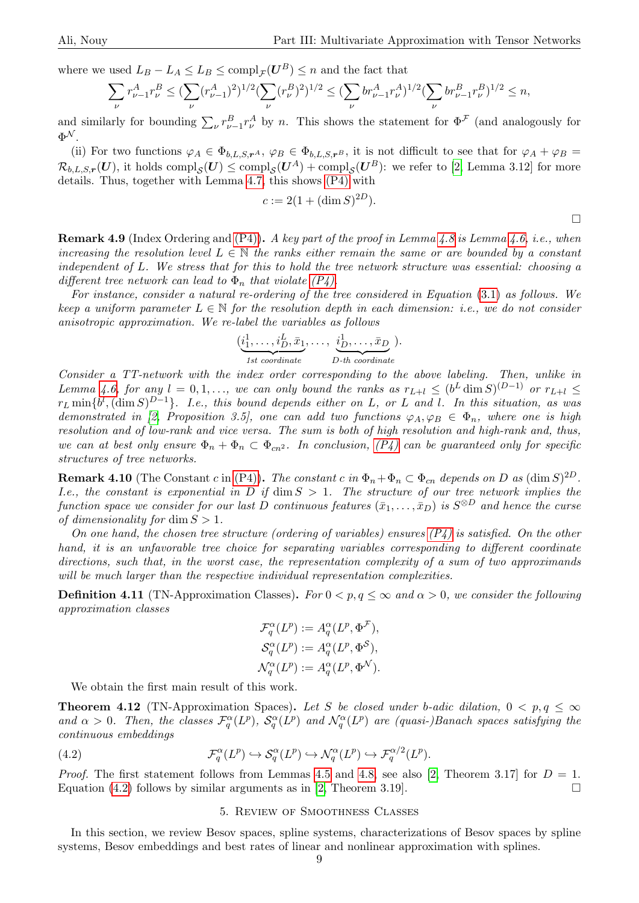where we used  $L_B - L_A \leq L_B \leq \text{compl}_{\mathcal{F}}(U^B) \leq n$  and the fact that

$$
\sum_{\nu} r_{\nu-1}^A r_{\nu}^B \leq (\sum_{\nu} (r_{\nu-1}^A)^2)^{1/2} (\sum_{\nu} (r_{\nu}^B)^2)^{1/2} \leq (\sum_{\nu} br_{\nu-1}^A r_{\nu}^A)^{1/2} (\sum_{\nu} br_{\nu-1}^B r_{\nu}^B)^{1/2} \leq n,
$$

and similarly for bounding  $\sum_{\nu} r_{\nu-1}^B r_{\nu}^A$  by n. This shows the statement for  $\Phi^{\mathcal{F}}$  (and analogously for  $\Phi^{\mathcal{N}}.$ 

(ii) For two functions  $\varphi_A \in \Phi_{b,L,S,r^A}$ ,  $\varphi_B \in \Phi_{b,L,S,r^B}$ , it is not difficult to see that for  $\varphi_A + \varphi_B =$  $\mathcal{R}_{b,L,S,\bm{r}}(\bm{U}),$  it holds  $\mathrm{compl}_{\mathcal{S}}(\bm{U}) \leq \mathrm{compl}_{\mathcal{S}}(\bm{U}^A) + \mathrm{compl}_{\mathcal{S}}(\bm{U}^B)$ : we refer to [\[2,](#page-21-0) Lemma 3.12] for more details. Thus, together with Lemma [4.7,](#page-7-1) this shows [\(P4\)](#page-6-3) with

$$
c := 2(1 + (\dim S)^{2D}).
$$

**Remark 4.9** (Index Ordering and  $(P4)$ ). A key part of the proof in Lemma [4.8](#page-7-2) is Lemma [4.6,](#page-7-0) i.e., when increasing the resolution level  $L \in \mathbb{N}$  the ranks either remain the same or are bounded by a constant independent of L. We stress that for this to hold the tree network structure was essential: choosing a different tree network can lead to  $\Phi_n$  that violate  $(P_4)$ .

For instance, consider a natural re-ordering of the tree considered in Equation [\(3.1\)](#page-5-3) as follows. We keep a uniform parameter  $L \in \mathbb{N}$  for the resolution depth in each dimension: i.e., we do not consider anisotropic approximation. We re-label the variables as follows

$$
(\underbrace{i_1^1,\ldots,i_D^L,\bar{x}_1}_{1st\ coordinate},\ldots,\underbrace{i_D^1,\ldots,\bar{x}_D}_{D-th\ coordinate}).
$$

Consider a TT-network with the index order corresponding to the above labeling. Then, unlike in Lemma [4.6,](#page-7-0) for any  $l = 0, 1, \ldots$ , we can only bound the ranks as  $r_{L+l} \leq (b^L \dim S)^{(D-1)}$  or  $r_{L+l} \leq$  $r_L \min\{b^l, (\dim S)^{D-1}\}.$  I.e., this bound depends either on L, or L and l. In this situation, as was demonstrated in [\[2,](#page-21-0) Proposition 3.5], one can add two functions  $\varphi_A, \varphi_B \in \Phi_n$ , where one is high resolution and of low-rank and vice versa. The sum is both of high resolution and high-rank and, thus, we can at best only ensure  $\Phi_n + \Phi_n \subset \Phi_{cn^2}$ . In conclusion,  $(P_4)$  can be guaranteed only for specific structures of tree networks.

**Remark 4.10** (The Constant c in [\(P4\)\)](#page-6-3). The constant c in  $\Phi_n + \Phi_n \subset \Phi_{cn}$  depends on D as  $(\dim S)^{2D}$ . I.e., the constant is exponential in D if  $\dim S > 1$ . The structure of our tree network implies the function space we consider for our last D continuous features  $(\bar{x}_1, \ldots, \bar{x}_D)$  is  $S^{\otimes D}$  and hence the curse of dimensionality for  $\dim S > 1$ .

On one hand, the chosen tree structure (ordering of variables) ensures  $(P_4)$  is satisfied. On the other hand, it is an unfavorable tree choice for separating variables corresponding to different coordinate directions, such that, in the worst case, the representation complexity of a sum of two approximands will be much larger than the respective individual representation complexities.

<span id="page-8-1"></span>**Definition 4.11** (TN-Approximation Classes). For  $0 < p, q \le \infty$  and  $\alpha > 0$ , we consider the following approximation classes

$$
\mathcal{F}_q^{\alpha}(L^p) := A_q^{\alpha}(L^p, \Phi^{\mathcal{F}}),
$$
  
\n
$$
\mathcal{S}_q^{\alpha}(L^p) := A_q^{\alpha}(L^p, \Phi^{\mathcal{S}}),
$$
  
\n
$$
\mathcal{N}_q^{\alpha}(L^p) := A_q^{\alpha}(L^p, \Phi^{\mathcal{N}}).
$$

We obtain the first main result of this work.

**Theorem 4.12** (TN-Approximation Spaces). Let S be closed under b-adic dilation,  $0 < p, q \leq \infty$ and  $\alpha > 0$ . Then, the classes  $\mathcal{F}_q^{\alpha}(L^p)$ ,  $\mathcal{S}_q^{\alpha}(L^p)$  and  $\mathcal{N}_q^{\alpha}(L^p)$  are (quasi-)Banach spaces satisfying the continuous embeddings

<span id="page-8-2"></span>(4.2) 
$$
\mathcal{F}_q^{\alpha}(L^p) \hookrightarrow \mathcal{S}_q^{\alpha}(L^p) \hookrightarrow \mathcal{N}_q^{\alpha}(L^p) \hookrightarrow \mathcal{F}_q^{\alpha/2}(L^p).
$$

*Proof.* The first statement follows from Lemmas [4.5](#page-6-7) and [4.8,](#page-7-2) see also [\[2,](#page-21-0) Theorem 3.17] for  $D = 1$ . Equation [\(4.2\)](#page-8-2) follows by similar arguments as in [\[2,](#page-21-0) Theorem 3.19].

#### 5. Review of Smoothness Classes

<span id="page-8-0"></span>In this section, we review Besov spaces, spline systems, characterizations of Besov spaces by spline systems, Besov embeddings and best rates of linear and nonlinear approximation with splines.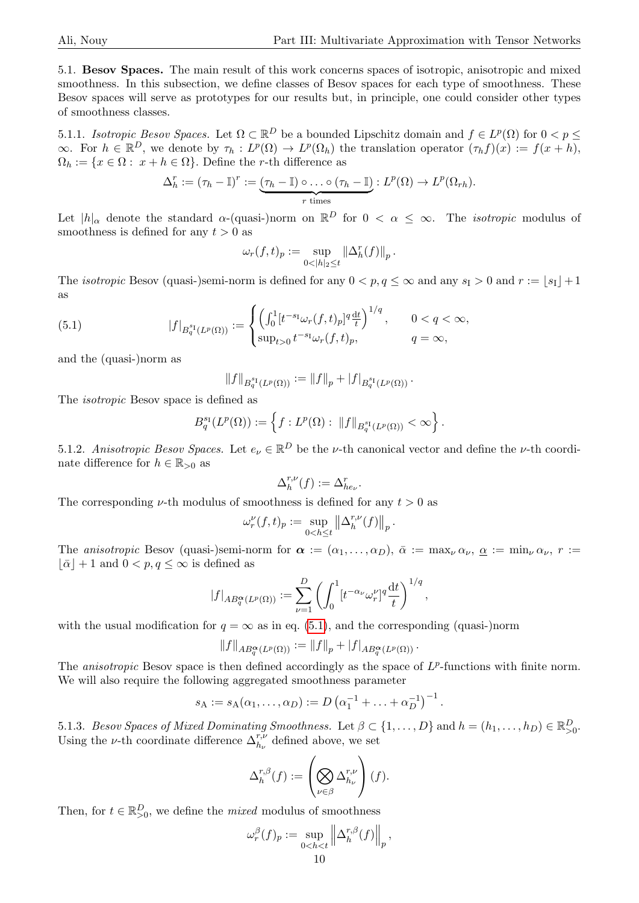<span id="page-9-0"></span>5.1. Besov Spaces. The main result of this work concerns spaces of isotropic, anisotropic and mixed smoothness. In this subsection, we define classes of Besov spaces for each type of smoothness. These Besov spaces will serve as prototypes for our results but, in principle, one could consider other types of smoothness classes.

5.1.1. Isotropic Besov Spaces. Let  $\Omega \subset \mathbb{R}^D$  be a bounded Lipschitz domain and  $f \in L^p(\Omega)$  for  $0 < p \leq$  $\infty$ . For  $h \in \mathbb{R}^D$ , we denote by  $\tau_h: L^p(\Omega) \to L^p(\Omega_h)$  the translation operator  $(\tau_h f)(x) := f(x+h)$ ,  $\Omega_h := \{x \in \Omega : x + h \in \Omega\}$ . Define the r-th difference as

$$
\Delta_h^r := (\tau_h - \mathbb{I})^r := \underbrace{(\tau_h - \mathbb{I}) \circ \dots \circ (\tau_h - \mathbb{I})}_{r \text{ times}} : L^p(\Omega) \to L^p(\Omega_{rh}).
$$

Let  $|h|_{\alpha}$  denote the standard  $\alpha$ -(quasi-)norm on  $\mathbb{R}^D$  for  $0 < \alpha \leq \infty$ . The *isotropic* modulus of smoothness is defined for any  $t > 0$  as

$$
\omega_r(f,t)_p := \sup_{0 < |h|_2 \le t} \|\Delta^r_h(f)\|_p.
$$

The *isotropic* Besov (quasi-)semi-norm is defined for any  $0 < p, q \le \infty$  and any  $s_1 > 0$  and  $r := |s_1| + 1$ as

<span id="page-9-1"></span>(5.1) 
$$
|f|_{B_q^{s_1}(L^p(\Omega))} := \begin{cases} \left(\int_0^1 [t^{-s_1} \omega_r(f,t)_p]^q \frac{dt}{t}\right)^{1/q}, & 0 < q < \infty, \\ \sup_{t > 0} t^{-s_1} \omega_r(f,t)_p, & q = \infty, \end{cases}
$$

and the (quasi-)norm as

$$
||f||_{B_q^{s_1}(L^p(\Omega))} := ||f||_p + |f|_{B_q^{s_1}(L^p(\Omega))}.
$$

The isotropic Besov space is defined as

$$
B_q^{s_1}(L^p(\Omega)) := \left\{ f : L^p(\Omega) : ||f||_{B_q^{s_1}(L^p(\Omega))} < \infty \right\}.
$$

5.1.2. Anisotropic Besov Spaces. Let  $e_{\nu} \in \mathbb{R}^D$  be the *ν*-th canonical vector and define the *ν*-th coordinate difference for  $h \in \mathbb{R}_{>0}$  as

$$
\Delta_h^{r,\nu}(f) := \Delta_{he_{\nu}}^r.
$$

The corresponding  $\nu$ -th modulus of smoothness is defined for any  $t > 0$  as

$$
\omega_r^{\nu}(f,t)_p := \sup_{0 < h \leq t} \left\| \Delta_h^{r,\nu}(f) \right\|_p.
$$

The anisotropic Besov (quasi-)semi-norm for  $\alpha := (\alpha_1, \ldots, \alpha_D)$ ,  $\overline{\alpha} := \max_{\nu} \alpha_{\nu}$ ,  $\alpha := \min_{\nu} \alpha_{\nu}$ ,  $r :=$  $|\bar{\alpha}| + 1$  and  $0 < p, q \leq \infty$  is defined as

$$
|f|_{AB_q^{\alpha}(L^p(\Omega))} := \sum_{\nu=1}^D \left( \int_0^1 [t^{-\alpha_{\nu}} \omega_r^{\nu}]^q \frac{\mathrm{d}t}{t} \right)^{1/q},
$$

with the usual modification for  $q = \infty$  as in eq. [\(5.1\)](#page-9-1), and the corresponding (quasi-)norm

$$
||f||_{AB_q^{\alpha}(L^p(\Omega))} := ||f||_p + |f|_{AB_q^{\alpha}(L^p(\Omega))}.
$$

The anisotropic Besov space is then defined accordingly as the space of  $L^p$ -functions with finite norm. We will also require the following aggregated smoothness parameter

$$
s_A := s_A(\alpha_1, ..., \alpha_D) := D(\alpha_1^{-1} + ... + \alpha_D^{-1})^{-1}.
$$

5.1.3. Besov Spaces of Mixed Dominating Smoothness. Let  $\beta \subset \{1,\ldots,D\}$  and  $h = (h_1,\ldots,h_D) \in \mathbb{R}_{\geq 0}^D$ . Using the *ν*-th coordinate difference  $\Delta_{h_{\nu}}^{r,\nu}$  defined above, we set

$$
\Delta_h^{r,\beta}(f) := \left(\bigotimes_{\nu \in \beta} \Delta_{h_{\nu}}^{r,\nu}\right)(f).
$$

Then, for  $t \in \mathbb{R}_{\geq 0}^D$ , we define the *mixed* modulus of smoothness

$$
\omega_r^{\beta}(f)_p := \sup_{0 < h < t} \left\| \Delta_h^{r,\beta}(f) \right\|_p,
$$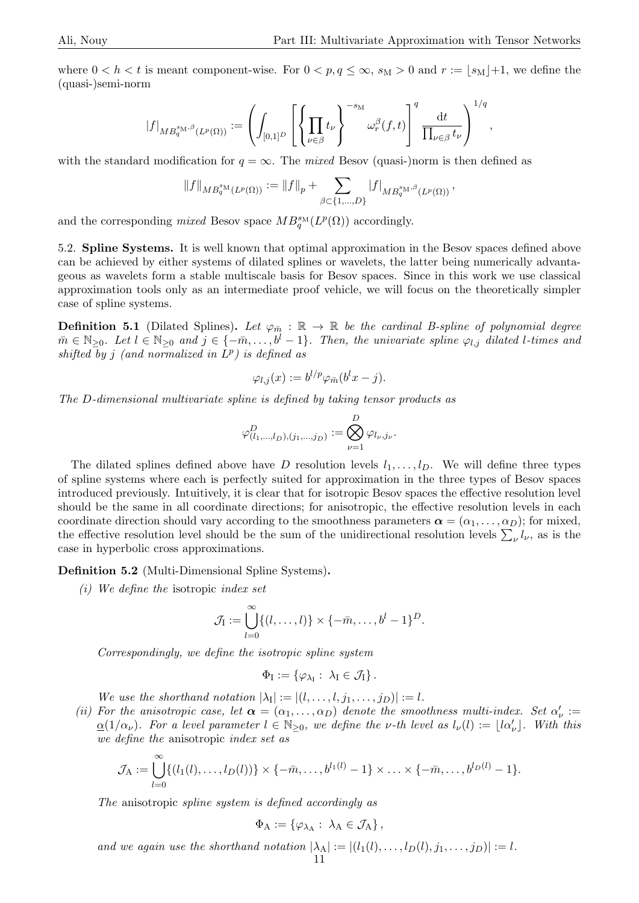where  $0 < h < t$  is meant component-wise. For  $0 < p, q \le \infty$ ,  $s_M > 0$  and  $r := |s_M| + 1$ , we define the (quasi-)semi-norm

$$
|f|_{MB_q^{s_M,\beta}(L^p(\Omega))}:=\left(\int_{[0,1]^D}\left[\left\{\prod_{\nu\in\beta}t_{\nu}\right\}^{-s_M}\omega_r^\beta(f,t)\right]^q\frac{\mathrm{d}t}{\prod_{\nu\in\beta}t_{\nu}}\right)^{1/q},
$$

with the standard modification for  $q = \infty$ . The mixed Besov (quasi-)norm is then defined as

$$
||f||_{MB_q^{s_M}(L^p(\Omega))} := ||f||_p + \sum_{\beta \subset \{1,\ldots,D\}} |f|_{MB_q^{s_M,\beta}(L^p(\Omega))},
$$

and the corresponding mixed Besov space  $MB^{\text{SM}}_q(L^p(\Omega))$  accordingly.

5.2. Spline Systems. It is well known that optimal approximation in the Besov spaces defined above can be achieved by either systems of dilated splines or wavelets, the latter being numerically advantageous as wavelets form a stable multiscale basis for Besov spaces. Since in this work we use classical approximation tools only as an intermediate proof vehicle, we will focus on the theoretically simpler case of spline systems.

**Definition 5.1** (Dilated Splines). Let  $\varphi_{\bar{m}} : \mathbb{R} \to \mathbb{R}$  be the cardinal B-spline of polynomial degree  $m \in \mathbb{N}_{\geq 0}$ . Let  $l \in \mathbb{N}_{\geq 0}$  and  $j \in \{-\bar{m}, \ldots, b^l-1\}$ . Then, the univariate spline  $\varphi_{l,j}$  dilated l-times and shifted by j (and normalized in  $L^p$ ) is defined as

$$
\varphi_{l,j}(x) := b^{l/p} \varphi_{\bar{m}}(b^l x - j).
$$

The D-dimensional multivariate spline is defined by taking tensor products as

$$
\varphi^D_{(l_1,...,l_D),(j_1,...,j_D)} := \bigotimes_{\nu=1}^D \varphi_{l_{\nu},j_{\nu}}.
$$

The dilated splines defined above have D resolution levels  $l_1, \ldots, l_p$ . We will define three types of spline systems where each is perfectly suited for approximation in the three types of Besov spaces introduced previously. Intuitively, it is clear that for isotropic Besov spaces the effective resolution level should be the same in all coordinate directions; for anisotropic, the effective resolution levels in each coordinate direction should vary according to the smoothness parameters  $\alpha = (\alpha_1, \dots, \alpha_D)$ ; for mixed, the effective resolution level should be the sum of the unidirectional resolution levels  $\sum_{\nu} l_{\nu}$ , as is the case in hyperbolic cross approximations.

Definition 5.2 (Multi-Dimensional Spline Systems).

(i) We define the isotropic index set

$$
\mathcal{J}_I := \bigcup_{l=0}^{\infty} \{ (l,\ldots,l) \} \times \{ -\bar{m},\ldots,b^l-1 \}^D.
$$

Correspondingly, we define the isotropic spline system

$$
\Phi_{\mathrm{I}}:=\left\{\varphi_{\lambda_{\mathrm{I}}}:\;\lambda_{\mathrm{I}}\in\mathcal{J}_{\mathrm{I}}\right\}.
$$

We use the shorthand notation  $|\lambda_{\rm I}| := |(l,\ldots,l,j_1,\ldots,j_D)| := l$ .

(ii) For the anisotropic case, let  $\alpha = (\alpha_1, \dots, \alpha_D)$  denote the smoothness multi-index. Set  $\alpha'_\nu$  :=  $\underline{\alpha}(1/\alpha_{\nu})$ . For a level parameter  $l \in \mathbb{N}_{\geq 0}$ , we define the v-th level as  $l_{\nu}(l) := \lfloor l \alpha_{\nu}' \rfloor$ . With this we define the anisotropic index set as

$$
\mathcal{J}_A := \bigcup_{l=0}^{\infty} \{ (l_1(l), \ldots, l_D(l)) \} \times \{ -\bar{m}, \ldots, b^{l_1(l)} - 1 \} \times \ldots \times \{ -\bar{m}, \ldots, b^{l_D(l)} - 1 \}.
$$

The anisotropic spline system is defined accordingly as

$$
\Phi_{\mathcal{A}} := \{ \varphi_{\lambda_{\mathcal{A}}} : \ \lambda_{\mathcal{A}} \in \mathcal{J}_{\mathcal{A}} \},
$$

and we again use the shorthand notation  $|\lambda_A| := |(l_1(l), \ldots, l_D(l), j_1, \ldots, j_D)| := l$ . 11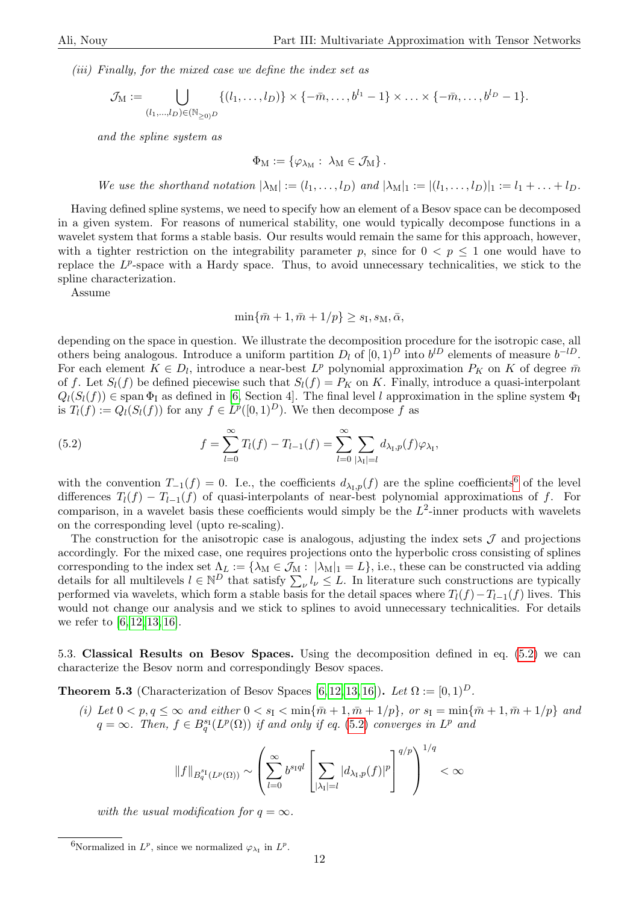(iii) Finally, for the mixed case we define the index set as

$$
\mathcal{J}_M := \bigcup_{(l_1,\ldots,l_D)\in(\mathbb{N}_{\geq 0})^D} \{(l_1,\ldots,l_D)\} \times \{-\bar{m},\ldots,b^{l_1}-1\} \times \ldots \times \{-\bar{m},\ldots,b^{l_D}-1\}.
$$

and the spline system as

$$
\Phi_{\mathrm{M}}:=\left\{\varphi_{\lambda_{\mathrm{M}}}: \ \lambda_{\mathrm{M}}\in\mathcal{J}_{\mathrm{M}}\right\}.
$$

We use the shorthand notation  $|\lambda_M| := (l_1, \ldots, l_D)$  and  $|\lambda_M|_1 := |(l_1, \ldots, l_D)|_1 := l_1 + \ldots + l_D$ .

Having defined spline systems, we need to specify how an element of a Besov space can be decomposed in a given system. For reasons of numerical stability, one would typically decompose functions in a wavelet system that forms a stable basis. Our results would remain the same for this approach, however, with a tighter restriction on the integrability parameter p, since for  $0 < p \leq 1$  one would have to replace the  $L^p$ -space with a Hardy space. Thus, to avoid unnecessary technicalities, we stick to the spline characterization.

Assume

$$
\min\{\bar{m}+1,\bar{m}+1/p\}\geq s_{\text{I}},s_{\text{M}},\bar{\alpha},
$$

depending on the space in question. We illustrate the decomposition procedure for the isotropic case, all others being analogous. Introduce a uniform partition  $D_l$  of  $[0,1)^D$  into  $b^{lD}$  elements of measure  $b^{-lD}$ . For each element  $K \in D_l$ , introduce a near-best  $L^p$  polynomial approximation  $P_K$  on K of degree  $\bar{m}$ of f. Let  $S_l(f)$  be defined piecewise such that  $S_l(f) = P_K$  on K. Finally, introduce a quasi-interpolant  $Q_l(S_l(f)) \in \text{span } \Phi_l$  as defined in [\[6,](#page-21-16) Section 4]. The final level l approximation in the spline system  $\Phi_l$ is  $T_l(f) := Q_l(S_l(f))$  for any  $f \in L^p([0,1)^D)$ . We then decompose f as

<span id="page-11-1"></span>(5.2) 
$$
f = \sum_{l=0}^{\infty} T_l(f) - T_{l-1}(f) = \sum_{l=0}^{\infty} \sum_{|\lambda_I|=l} d_{\lambda_I, p}(f) \varphi_{\lambda_I},
$$

with the convention  $T_{-1}(f) = 0$ . I.e., the coefficients  $d_{\lambda_{\text{I}},p}(f)$  are the spline coefficients<sup>[6](#page-11-0)</sup> of the level differences  $T_l(f) - T_{l-1}(f)$  of quasi-interpolants of near-best polynomial approximations of f. For comparison, in a wavelet basis these coefficients would simply be the  $L^2$ -inner products with wavelets on the corresponding level (upto re-scaling).

The construction for the anisotropic case is analogous, adjusting the index sets  $\mathcal J$  and projections accordingly. For the mixed case, one requires projections onto the hyperbolic cross consisting of splines corresponding to the index set  $\Lambda_L := \{\lambda_M \in \mathcal{J}_M : |\lambda_M|_1 = L\}$ , i.e., these can be constructed via adding details for all multilevels  $l \in \mathbb{N}^D$  that satisfy  $\sum_{\nu} l_{\nu} \leq L$ . In literature such constructions are typically performed via wavelets, which form a stable basis for the detail spaces where  $T_l(f)-T_{l-1}(f)$  lives. This would not change our analysis and we stick to splines to avoid unnecessary technicalities. For details we refer to  $[6, 12, 13, 16]$  $[6, 12, 13, 16]$  $[6, 12, 13, 16]$  $[6, 12, 13, 16]$ .

5.3. Classical Results on Besov Spaces. Using the decomposition defined in eq. [\(5.2\)](#page-11-1) we can characterize the Besov norm and correspondingly Besov spaces.

<span id="page-11-2"></span>**Theorem 5.3** (Characterization of Besov Spaces [\[6,](#page-21-16) [12,](#page-21-17) [13,](#page-21-18) [16\]](#page-21-19)). Let  $\Omega := [0, 1)^D$ .

(i) Let  $0 < p, q \le \infty$  and either  $0 < s<sub>I</sub> < \min{\lbrace \bar{m}+1, \bar{m}+1/p \rbrace}$ , or  $s<sub>I</sub> = \min{\lbrace \bar{m}+1, \bar{m}+1/p \rbrace}$  and  $q = \infty$ . Then,  $f \in B^{\mathrm{s}_1}_q(L^p(\Omega))$  if and only if eq. [\(5.2\)](#page-11-1) converges in  $L^p$  and

$$
||f||_{B_q^{s_1}(L^p(\Omega))} \sim \left(\sum_{l=0}^{\infty} b^{s_1 q l} \left[\sum_{|\lambda_1|=l} |d_{\lambda_1,p}(f)|^p\right]^{q/p}\right)^{1/q} < \infty
$$

with the usual modification for  $q = \infty$ .

<span id="page-11-0"></span><sup>&</sup>lt;sup>6</sup>Normalized in  $L^p$ , since we normalized  $\varphi_{\lambda_1}$  in  $L^p$ .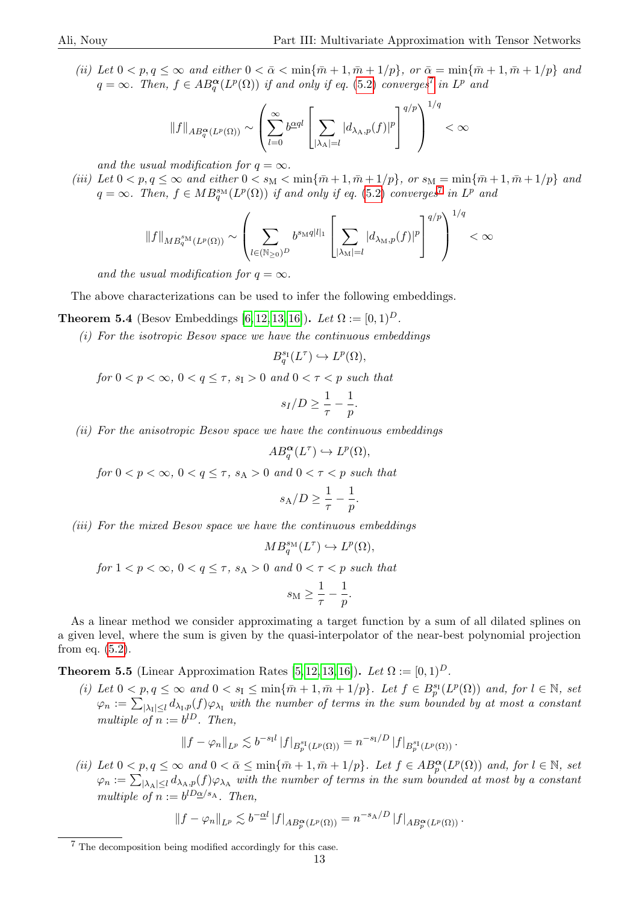(ii) Let  $0 < p, q \le \infty$  and either  $0 < \bar{\alpha} < \min{\lbrace \bar{m} + 1, \bar{m} + 1/p \rbrace}$ , or  $\bar{\alpha} = \min{\lbrace \bar{m} + 1, \bar{m} + 1/p \rbrace}$  and  $q = \infty$ . Then,  $f \in AB_q^{\boldsymbol{\alpha}}(L^p(\Omega))$  if and only if eq. [\(5.2\)](#page-11-1) converges<sup>[7](#page-12-1)</sup> in  $L^p$  and

$$
||f||_{AB^{\alpha}_{q}(L^{p}(\Omega))} \sim \left(\sum_{l=0}^{\infty} b^{\underline{\alpha}ql} \left[\sum_{|\lambda_{\mathcal{A}}|=l} |d_{\lambda_{\mathcal{A}},p}(f)|^{p}\right]^{q/p}\right)^{1/q} < \infty
$$

and the usual modification for  $q = \infty$ .

(iii) Let  $0 < p, q \le \infty$  and either  $0 < s_M < \min{\lbrace \bar{m}+1, \bar{m}+1/p \rbrace}$ , or  $s_M = \min{\lbrace \bar{m}+1, \bar{m}+1/p \rbrace}$  and  $q = \infty$ . Then,  $f \in MB_q^{\text{sm}}(L^p(\Omega))$  if and only if eq. [\(5.2\)](#page-11-1) converges<sup>[7](#page-12-1)</sup> in  $L^p$  and

$$
\|f\|_{MB_q^{s_\mathrm{M}}(L^p(\Omega))}\sim \left(\sum_{l\in (\mathbb{N}_{\geq 0})^D} b^{s_\mathrm{M}q|l|_1}\left[\sum_{|\lambda_\mathrm{M}|=l}|d_{\lambda_\mathrm{M},p}(f)|^p\right]^{q/p}\right)^{1/q}<\infty
$$

and the usual modification for  $q = \infty$ .

The above characterizations can be used to infer the following embeddings.

<span id="page-12-0"></span>**Theorem 5.4** (Besov Embeddings [\[6,](#page-21-16) [12,](#page-21-17) [13,](#page-21-18) [16\]](#page-21-19)). Let  $\Omega := [0, 1)^D$ .

 $(i)$  For the isotropic Besov space we have the continuous embeddings

$$
B_q^{s_1}(L^{\tau}) \hookrightarrow L^p(\Omega),
$$

for  $0 < p < \infty$ ,  $0 < q \leq \tau$ ,  $s_{\text{I}} > 0$  and  $0 < \tau < p$  such that

$$
s_I/D \geq \frac{1}{\tau} - \frac{1}{p}.
$$

(ii) For the anisotropic Besov space we have the continuous embeddings

$$
AB^{\alpha}_q(L^{\tau}) \hookrightarrow L^p(\Omega),
$$

for  $0 < p < \infty$ ,  $0 < q \leq \tau$ ,  $s_A > 0$  and  $0 < \tau < p$  such that

$$
s_{\mathcal{A}}/D \geq \frac{1}{\tau} - \frac{1}{p}.
$$

(iii) For the mixed Besov space we have the continuous embeddings

$$
MB_q^{s_M}(L^{\tau}) \hookrightarrow L^p(\Omega),
$$
  
for  $1 < p < \infty$ ,  $0 < q \le \tau$ ,  $s_A > 0$  and  $0 < \tau < p$  such that  

$$
s_M \ge \frac{1}{\tau} - \frac{1}{p}.
$$

As a linear method we consider approximating a target function by a sum of all dilated splines on a given level, where the sum is given by the quasi-interpolator of the near-best polynomial projection from eq. [\(5.2\)](#page-11-1).

<span id="page-12-2"></span>**Theorem 5.5** (Linear Approximation Rates [\[5,](#page-21-20) [12,](#page-21-17) [13,](#page-21-18) [16\]](#page-21-19)). Let  $\Omega := [0, 1)^D$ .

(i) Let  $0 < p, q \le \infty$  and  $0 < s_{\mathcal{I}} \le \min\{\bar{m}+1, \bar{m}+1/p\}$ . Let  $f \in B_p^{s_{\mathcal{I}}}(L^p(\Omega))$  and, for  $l \in \mathbb{N}$ , set  $\varphi_n := \sum_{|\lambda_1| \leq l} d_{\lambda_1, p}(f) \varphi_{\lambda_1}$  with the number of terms in the sum bounded by at most a constant multiple of  $n := b^{lD}$ . Then,

$$
||f - \varphi_n||_{L^p} \lesssim b^{-s_1 l} |f|_{B_p^{s_1}(L^p(\Omega))} = n^{-s_1/D} |f|_{B_p^{s_1}(L^p(\Omega))}.
$$

(ii) Let  $0 < p, q \le \infty$  and  $0 < \bar{\alpha} \le \min\{\bar{m} + 1, \bar{m} + 1/p\}$ . Let  $f \in AB_p^{\alpha}(L^p(\Omega))$  and, for  $l \in \mathbb{N}$ , set  $\varphi_n := \sum_{|\lambda_A| \leq l} d_{\lambda_A, p}(f) \varphi_{\lambda_A}$  with the number of terms in the sum bounded at most by a constant multiple of  $n := b^{lD \underline{\alpha}/s_A}$ . Then,

$$
||f - \varphi_n||_{L^p} \lesssim b^{-\alpha l} |f|_{AB_p^{\alpha}(L^p(\Omega))} = n^{-s_A/D} |f|_{AB_p^{\alpha}(L^p(\Omega))}.
$$

<span id="page-12-1"></span><sup>7</sup> The decomposition being modified accordingly for this case.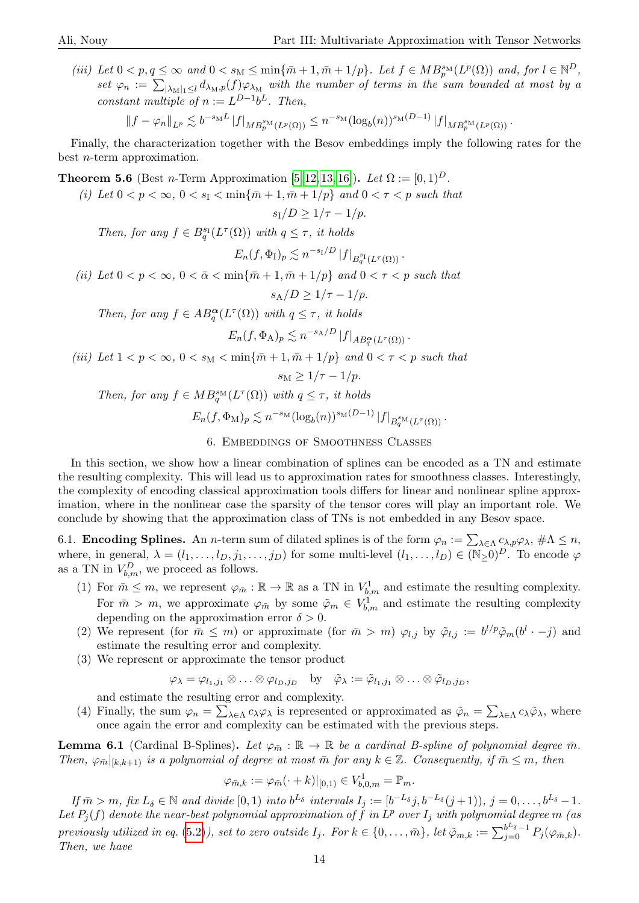(iii) Let  $0 < p, q \le \infty$  and  $0 < s_M \le \min{\lbrace \bar{m} + 1, \bar{m} + 1/p \rbrace}$ . Let  $f \in MB_p^{\text{SM}}(L^p(\Omega))$  and, for  $l \in \mathbb{N}^D$ , set  $\varphi_n := \sum_{|\lambda_M|_1 \leq l} d_{\lambda_M, p}(f) \varphi_{\lambda_M}$  with the number of terms in the sum bounded at most by a constant multiple of  $n := L^{D-1}b^L$ . Then,

$$
||f - \varphi_n||_{L^p} \lesssim b^{-s_M L} |f|_{MB_p^{s_M}(L^p(\Omega))} \le n^{-s_M} (\log_b(n))^{s_M(D-1)} |f|_{MB_p^{s_M}(L^p(\Omega))}.
$$

Finally, the characterization together with the Besov embeddings imply the following rates for the best n-term approximation.

<span id="page-13-2"></span>**Theorem 5.6** (Best *n*-Term Approximation [\[5,](#page-21-20) [12,](#page-21-17) [13,](#page-21-18) [16\]](#page-21-19)). Let  $\Omega := [0, 1)^D$ .

(i) Let  $0 < p < \infty$ ,  $0 < s<sub>1</sub> < \min\{\bar{m}+1, \bar{m}+1/p\}$  and  $0 < \tau < p$  such that

$$
s_{\rm I}/D \ge 1/\tau - 1/p.
$$

Then, for any  $f \in B_q^{\mathfrak{s}_1}(L^{\tau}(\Omega))$  with  $q \leq \tau$ , it holds

$$
E_n(f, \Phi_I)_p \lesssim n^{-s_I/D} |f|_{B_q^{s_I}(L^{\tau}(\Omega))}.
$$

(ii) Let  $0 < p < \infty$ ,  $0 < \bar{\alpha} < \min\{\bar{m} + 1, \bar{m} + 1/p\}$  and  $0 < \tau < p$  such that

$$
s_{\rm A}/D \geq 1/\tau - 1/p.
$$

Then, for any  $f \in AB_q^{\alpha}(L^{\tau}(\Omega))$  with  $q \leq \tau$ , it holds

$$
E_n(f, \Phi_A)_p \lesssim n^{-s_A/D} |f|_{AB_q^{\alpha}(L^{\tau}(\Omega))}.
$$

(iii) Let  $1 < p < \infty$ ,  $0 < s_M < \min{\lbrace \bar{m} + 1, \bar{m} + 1/p \rbrace}$  and  $0 < \tau < p$  such that

$$
s_{\rm M} \ge 1/\tau - 1/p.
$$

Then, for any  $f \in MB_q^{\text{sm}}(L^{\tau}(\Omega))$  with  $q \leq \tau$ , it holds

$$
E_n(f, \Phi_M)_p \lesssim n^{-s_M} (\log_b(n))^{s_M(D-1)} |f|_{B_q^{s_M}(L^{\tau}(\Omega))}.
$$

### 6. Embeddings of Smoothness Classes

<span id="page-13-0"></span>In this section, we show how a linear combination of splines can be encoded as a TN and estimate the resulting complexity. This will lead us to approximation rates for smoothness classes. Interestingly, the complexity of encoding classical approximation tools differs for linear and nonlinear spline approximation, where in the nonlinear case the sparsity of the tensor cores will play an important role. We conclude by showing that the approximation class of TNs is not embedded in any Besov space.

6.1. **Encoding Splines.** An *n*-term sum of dilated splines is of the form  $\varphi_n := \sum_{\lambda \in \Lambda} c_{\lambda, p} \varphi_{\lambda}, \#\Lambda \leq n$ , where, in general,  $\lambda = (l_1, \ldots, l_D, j_1, \ldots, j_D)$  for some multi-level  $(l_1, \ldots, l_D) \in (\mathbb{N}_{\geq 0})^D$ . To encode  $\varphi$ as a TN in  $V_{b,m}^D$ , we proceed as follows.

- (1) For  $\bar{m} \leq m$ , we represent  $\varphi_{\bar{m}} : \mathbb{R} \to \mathbb{R}$  as a TN in  $V_{b,m}^1$  and estimate the resulting complexity. For  $\bar{m} > m$ , we approximate  $\varphi_{\bar{m}}$  by some  $\tilde{\varphi}_m \in V^1_{b,m}$  and estimate the resulting complexity depending on the approximation error  $\delta > 0$ .
- (2) We represent (for  $\bar{m} \leq m$ ) or approximate (for  $\bar{m} > m$ )  $\varphi_{l,j}$  by  $\tilde{\varphi}_{l,j} := b^{l/p} \tilde{\varphi}_m(b^l \cdot -j)$  and estimate the resulting error and complexity.
- (3) We represent or approximate the tensor product

$$
\varphi_{\lambda} = \varphi_{l_1,j_1} \otimes \ldots \otimes \varphi_{l_D,j_D} \quad \text{by} \quad \tilde{\varphi}_{\lambda} := \tilde{\varphi}_{l_1,j_1} \otimes \ldots \otimes \tilde{\varphi}_{l_D,j_D},
$$

and estimate the resulting error and complexity.

(4) Finally, the sum  $\varphi_n = \sum_{\lambda \in \Lambda} c_{\lambda} \varphi_{\lambda}$  is represented or approximated as  $\tilde{\varphi}_n = \sum_{\lambda \in \Lambda} c_{\lambda} \tilde{\varphi}_{\lambda}$ , where once again the error and complexity can be estimated with the previous steps.

<span id="page-13-1"></span>**Lemma 6.1** (Cardinal B-Splines). Let  $\varphi_{\overline{n}} : \mathbb{R} \to \mathbb{R}$  be a cardinal B-spline of polynomial degree  $\overline{m}$ . Then,  $\varphi_{\bar{m}}|_{[k,k+1)}$  is a polynomial of degree at most  $\bar{m}$  for any  $k \in \mathbb{Z}$ . Consequently, if  $\bar{m} \leq m$ , then

$$
\varphi_{\bar{m},k} := \varphi_{\bar{m}}(\cdot + k)|_{[0,1)} \in V_{b,0,m}^1 = \mathbb{P}_m.
$$

If  $\bar{m} > m$ , fix  $L_{\delta} \in \mathbb{N}$  and divide  $[0, 1)$  into  $b^{L_{\delta}}$  intervals  $I_j := [b^{-L_{\delta}}j, b^{-L_{\delta}}(j+1)), j = 0, \ldots, b^{L_{\delta}}-1$ . Let  $P_j(f)$  denote the near-best polynomial approximation of  $\tilde{f}$  in  $\tilde{L}^p$  over  $I_j$  with polynomial degree m (as previously utilized in eq. [\(5.2\)](#page-11-1)), set to zero outside  $I_j$ . For  $k \in \{0, \ldots, \bar{m}\}$ , let  $\tilde{\varphi}_{m,k} := \sum_{j=0}^{b^L \delta -1} P_j(\varphi_{\bar{m},k})$ . Then, we have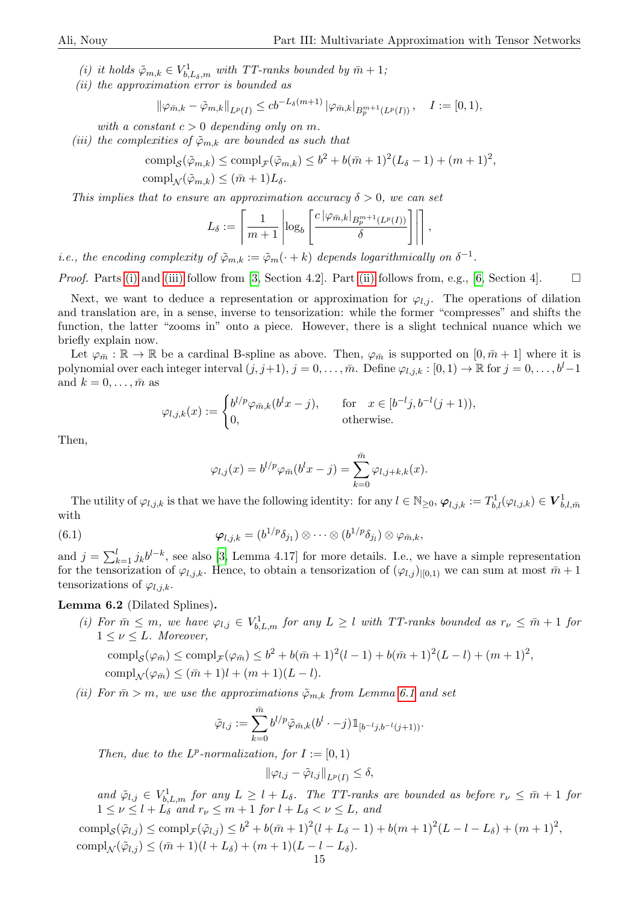- <span id="page-14-0"></span>(i) it holds  $\tilde{\varphi}_{m,k} \in V^1_{b,L_\delta,m}$  with TT-ranks bounded by  $\bar{m}+1$ ;
- <span id="page-14-2"></span>(ii) the approximation error is bounded as

$$
\|\varphi_{\bar{m},k} - \tilde{\varphi}_{m,k}\|_{L^p(I)} \leq cb^{-L_\delta(m+1)} |\varphi_{\bar{m},k}|_{B_p^{m+1}(L^p(I))}, \quad I := [0,1),
$$

with a constant  $c > 0$  depending only on m.

<span id="page-14-1"></span>(iii) the complexities of  $\tilde{\varphi}_{m,k}$  are bounded as such that

$$
\text{compl}_{\mathcal{S}}(\tilde{\varphi}_{m,k}) \le \text{compl}_{\mathcal{F}}(\tilde{\varphi}_{m,k}) \le b^2 + b(\bar{m}+1)^2(L_{\delta}-1) + (m+1)^2,
$$
  
\n
$$
\text{compl}_{\mathcal{N}}(\tilde{\varphi}_{m,k}) \le (\bar{m}+1)L_{\delta}.
$$

This implies that to ensure an approximation accuracy  $\delta > 0$ , we can set

$$
L_{\delta} := \left\lceil \frac{1}{m+1} \left| \log_b \left[ \frac{c \left| \varphi_{\bar{m},k} \right|_{B_p^{m+1}(L^p(I))}}{\delta} \right] \right| \right\rceil,
$$

*i.e.*, the encoding complexity of  $\tilde{\varphi}_{m,k} := \tilde{\varphi}_m(\cdot + k)$  depends logarithmically on  $\delta^{-1}$ .

*Proof.* Parts [\(i\)](#page-14-0) and [\(iii\)](#page-14-1) follow from [\[3,](#page-21-1) Section 4.2]. Part [\(ii\)](#page-14-2) follows from, e.g., [\[6,](#page-21-16) Section 4].  $\Box$ 

Next, we want to deduce a representation or approximation for  $\varphi_{l,j}$ . The operations of dilation and translation are, in a sense, inverse to tensorization: while the former "compresses" and shifts the function, the latter "zooms in" onto a piece. However, there is a slight technical nuance which we briefly explain now.

Let  $\varphi_{\bar{m}} : \mathbb{R} \to \mathbb{R}$  be a cardinal B-spline as above. Then,  $\varphi_{\bar{m}}$  is supported on  $[0, \bar{m} + 1]$  where it is polynomial over each integer interval  $(j, j+1), j = 0, \ldots, \bar{m}$ . Define  $\varphi_{l,j,k} : [0, 1) \to \mathbb{R}$  for  $j = 0, \ldots, b^l - 1$ and  $k = 0, \ldots, \bar{m}$  as

$$
\varphi_{l,j,k}(x) := \begin{cases} b^{l/p} \varphi_{\bar{m},k}(b^l x - j), & \text{for } x \in [b^{-l}j, b^{-l}(j+1)), \\ 0, & \text{otherwise.} \end{cases}
$$

Then,

$$
\varphi_{l,j}(x) = b^{l/p} \varphi_{\bar{m}}(b^l x - j) = \sum_{k=0}^{\bar{m}} \varphi_{l,j+k,k}(x).
$$

The utility of  $\varphi_{l,j,k}$  is that we have the following identity: for any  $l \in \mathbb{N}_{\geq 0}$ ,  $\varphi_{l,j,k} := T^1_{b,l}(\varphi_{l,j,k}) \in \mathbf{V}^1_{b,l,\bar{m}}$ with

(6.1) 
$$
\boldsymbol{\varphi}_{l,j,k} = (b^{1/p} \delta_{j_1}) \otimes \cdots \otimes (b^{1/p} \delta_{j_l}) \otimes \varphi_{\bar{m},k},
$$

and  $j = \sum_{k=1}^{l} j_k b^{l-k}$ , see also [\[3,](#page-21-1) Lemma 4.17] for more details. I.e., we have a simple representation for the tensorization of  $\varphi_{l,j,k}$ . Hence, to obtain a tensorization of  $(\varphi_{l,j})_{|[0,1]}$  we can sum at most  $\bar{m}+1$ tensorizations of  $\varphi_{l,j,k}$ .

### <span id="page-14-3"></span>Lemma 6.2 (Dilated Splines).

(i) For  $\bar{m} \leq m$ , we have  $\varphi_{l,j} \in V_{b,L,m}^1$  for any  $L \geq l$  with TT-ranks bounded as  $r_{\nu} \leq \bar{m}+1$  for  $1 \leq \nu \leq L$ . Moreover,

comp
$$
l_S(\varphi_{\bar{m}}) \leq \text{comp1}_{\mathcal{F}}(\varphi_{\bar{m}}) \leq b^2 + b(\bar{m}+1)^2(l-1) + b(\bar{m}+1)^2(L-l) + (m+1)^2
$$
,  
\ncomp $l_N(\varphi_{\bar{m}}) \leq (\bar{m}+1)l + (m+1)(L-l)$ .

(ii) For  $\bar{m} > m$ , we use the approximations  $\tilde{\varphi}_{m,k}$  from Lemma [6.1](#page-13-1) and set

$$
\tilde{\varphi}_{l,j} := \sum_{k=0}^{\bar{m}} b^{l/p} \tilde{\varphi}_{\bar{m},k} (b^l \cdot -j) \mathbbm{1}_{[b^{-l}j,b^{-l}(j+1))}.
$$

Then, due to the  $L^p$ -normalization, for  $I := [0, 1)$ 

$$
\|\varphi_{l,j}-\tilde{\varphi}_{l,j}\|_{L^p(I)}\leq \delta,
$$

and  $\tilde{\varphi}_{l,j} \in V_{b,L,m}^1$  for any  $L \geq l + L_{\delta}$ . The TT-ranks are bounded as before  $r_{\nu} \leq \bar{m} + 1$  for  $1 \leq \nu \leq l + L_{\delta}$  and  $r_{\nu} \leq m + 1$  for  $l + L_{\delta} < \nu \leq L$ , and

 $\text{compl}_{\mathcal{S}}(\tilde{\varphi}_{l,j}) \leq \text{compl}_{\mathcal{F}}(\tilde{\varphi}_{l,j}) \leq b^2 + b(\bar{m}+1)^2(l+L_{\delta}-1) + b(m+1)^2(L-l-L_{\delta}) + (m+1)^2,$ compl<sub>N</sub> $(\tilde{\varphi}_{l,j}) \leq (\bar{m}+1)(l+L_{\delta}) + (m+1)(L-l-L_{\delta}).$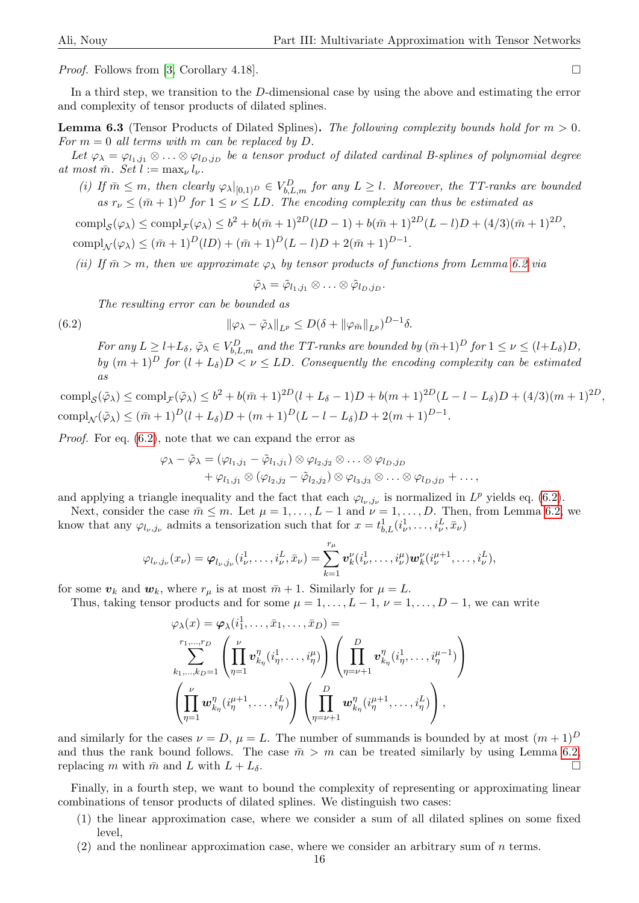*Proof.* Follows from [\[3,](#page-21-1) Corollary 4.18].

In a third step, we transition to the D-dimensional case by using the above and estimating the error and complexity of tensor products of dilated splines.

<span id="page-15-1"></span>**Lemma 6.3** (Tensor Products of Dilated Splines). The following complexity bounds hold for  $m > 0$ . For  $m = 0$  all terms with m can be replaced by D.

Let  $\varphi_{\lambda} = \varphi_{l_1,j_1} \otimes \ldots \otimes \varphi_{l_D,j_D}$  be a tensor product of dilated cardinal B-splines of polynomial degree at most  $\bar{m}$ . Set  $l := \max_{\nu} l_{\nu}$ .

(i) If  $\bar{m} \leq m$ , then clearly  $\varphi_{\lambda}|_{[0,1)} \rho \in V_{b,L,m}^D$  for any  $L \geq l$ . Moreover, the TT-ranks are bounded as  $r_{\nu} \leq (\bar{m} + 1)^D$  for  $1 \leq \nu \leq LD$ . The encoding complexity can thus be estimated as

 $\text{compl}_{\mathcal{S}}(\varphi_{\lambda}) \le \text{compl}_{\mathcal{F}}(\varphi_{\lambda}) \le b^2 + b(\bar{m}+1)^{2D}(lD-1) + b(\bar{m}+1)^{2D}(L-l)D + (4/3)(\bar{m}+1)^{2D},$  $\text{compl}_{\mathcal{N}}(\varphi_{\lambda}) \leq (\bar{m}+1)^{D}(lD) + (\bar{m}+1)^{D}(L-l)D + 2(\bar{m}+1)^{D-1}.$ 

(ii) If  $\bar{m} > m$ , then we approximate  $\varphi_{\lambda}$  by tensor products of functions from Lemma [6.2](#page-14-3) via

$$
\tilde{\varphi}_{\lambda} = \tilde{\varphi}_{l_1,j_1} \otimes \ldots \otimes \tilde{\varphi}_{l_D,j_D}.
$$

The resulting error can be bounded as

<span id="page-15-0"></span>(6.2) 
$$
\|\varphi_{\lambda}-\tilde{\varphi}_{\lambda}\|_{L^{p}}\leq D(\delta+\|\varphi_{\bar{m}}\|_{L^{p}})^{D-1}\delta.
$$

For any  $L \geq l+L_{\delta}$ ,  $\tilde{\varphi}_{\lambda} \in V_{b,L,m}^D$  and the TT-ranks are bounded by  $(\bar{m}+1)^D$  for  $1 \leq \nu \leq (l+L_{\delta})D$ , by  $(m+1)^D$  for  $(l+L_{\delta})D < \nu \leq LD$ . Consequently the encoding complexity can be estimated as

 $\text{compl}_{\mathcal{S}}(\tilde{\varphi}_{\lambda}) \le \text{compl}_{\mathcal{F}}(\tilde{\varphi}_{\lambda}) \le b^2 + b(\bar{m}+1)^{2D}(l+L_{\delta}-1)D + b(m+1)^{2D}(L-l-L_{\delta})D + (4/3)(m+1)^{2D},$  $\text{compl}_{\mathcal{N}}(\tilde{\varphi}_{\lambda}) \leq (\bar{m}+1)^{D}(l+L_{\delta})D + (m+1)^{D}(L-l-L_{\delta})D + 2(m+1)^{D-1}.$ 

Proof. For eq. [\(6.2\)](#page-15-0), note that we can expand the error as

$$
\varphi_{\lambda} - \tilde{\varphi}_{\lambda} = (\varphi_{l_1,j_1} - \tilde{\varphi}_{l_1,j_1}) \otimes \varphi_{l_2,j_2} \otimes \ldots \otimes \varphi_{l_D,j_D} + \varphi_{l_1,j_1} \otimes (\varphi_{l_2,j_2} - \tilde{\varphi}_{l_2,j_2}) \otimes \varphi_{l_3,j_3} \otimes \ldots \otimes \varphi_{l_D,j_D} + \ldots,
$$

and applying a triangle inequality and the fact that each  $\varphi_{l_{\nu},j_{\nu}}$  is normalized in  $L^{p}$  yields eq. [\(6.2\)](#page-15-0).

Next, consider the case  $\bar{m} \leq m$ . Let  $\mu = 1, \ldots, L-1$  and  $\nu = 1, \ldots, D$ . Then, from Lemma [6.2,](#page-14-3) we know that any  $\varphi_{l_{\nu},j_{\nu}}$  admits a tensorization such that for  $x=t_{b,L}^1(i_{\nu}^1,\ldots,i_{\nu}^L,\bar{x}_{\nu})$ 

$$
\varphi_{l_{\nu},j_{\nu}}(x_{\nu})=\varphi_{l_{\nu},j_{\nu}}(i_{\nu}^{1},\ldots,i_{\nu}^{L},\bar{x}_{\nu})=\sum_{k=1}^{r_{\mu}}\boldsymbol{v}_{k}^{\nu}(i_{\nu}^{1},\ldots,i_{\nu}^{\mu})\boldsymbol{w}_{k}^{\nu}(i_{\nu}^{\mu+1},\ldots,i_{\nu}^{L}),
$$

for some  $v_k$  and  $w_k$ , where  $r_\mu$  is at most  $\bar{m}+1$ . Similarly for  $\mu = L$ .

Thus, taking tensor products and for some  $\mu = 1, \ldots, L - 1, \nu = 1, \ldots, D - 1$ , we can write

$$
\varphi_{\lambda}(x) = \varphi_{\lambda}(i_1^1, \ldots, \bar{x}_1, \ldots, \bar{x}_D) =
$$
\n
$$
\sum_{k_1, \ldots, k_D = 1}^{r_1, \ldots, r_D} \left( \prod_{\eta=1}^{\nu} \mathbf{v}_{k_{\eta}}^{\eta}(i_{\eta}^1, \ldots, i_{\eta}^{\mu}) \right) \left( \prod_{\eta=\nu+1}^{D} \mathbf{v}_{k_{\eta}}^{\eta}(i_{\eta}^1, \ldots, i_{\eta}^{\mu-1}) \right)
$$
\n
$$
\left( \prod_{\eta=1}^{\nu} \mathbf{w}_{k_{\eta}}^{\eta}(i_{\eta}^{\mu+1}, \ldots, i_{\eta}^L) \right) \left( \prod_{\eta=\nu+1}^{D} \mathbf{w}_{k_{\eta}}^{\eta}(i_{\eta}^{\mu+1}, \ldots, i_{\eta}^L) \right),
$$

and similarly for the cases  $\nu = D$ ,  $\mu = L$ . The number of summands is bounded by at most  $(m + 1)^D$ and thus the rank bound follows. The case  $\bar{m} > m$  can be treated similarly by using Lemma [6.2,](#page-14-3) replacing m with  $\bar{m}$  and L with  $L + L_{\delta}$ .

Finally, in a fourth step, we want to bound the complexity of representing or approximating linear combinations of tensor products of dilated splines. We distinguish two cases:

- (1) the linear approximation case, where we consider a sum of all dilated splines on some fixed level,
- $(2)$  and the nonlinear approximation case, where we consider an arbitrary sum of n terms.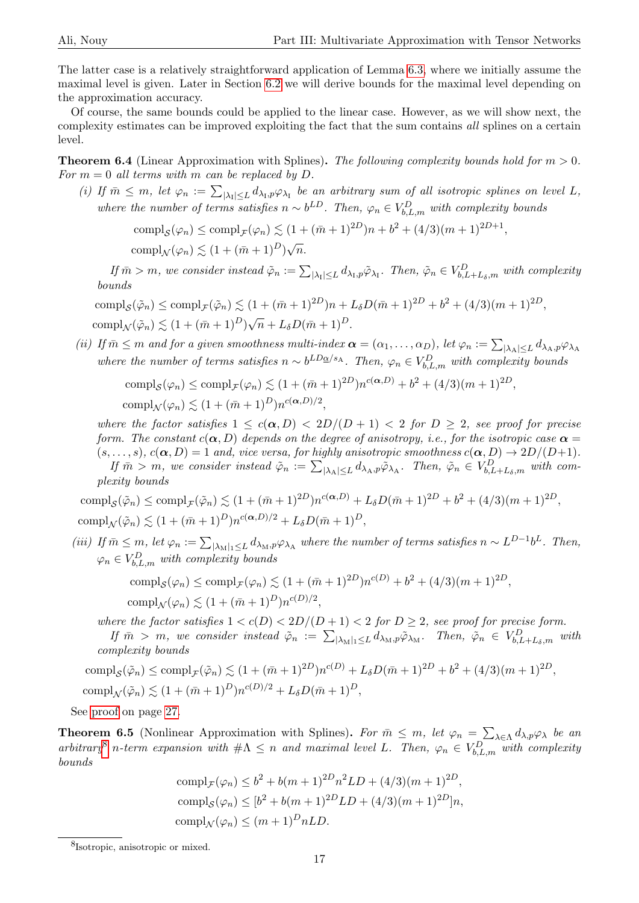The latter case is a relatively straightforward application of Lemma [6.3,](#page-15-1) where we initially assume the maximal level is given. Later in Section [6.2](#page-17-0) we will derive bounds for the maximal level depending on the approximation accuracy.

Of course, the same bounds could be applied to the linear case. However, as we will show next, the complexity estimates can be improved exploiting the fact that the sum contains all splines on a certain level.

<span id="page-16-1"></span>**Theorem 6.4** (Linear Approximation with Splines). The following complexity bounds hold for  $m > 0$ . For  $m = 0$  all terms with m can be replaced by D.

(i) If  $\bar{m} \leq m$ , let  $\varphi_n := \sum_{|\lambda_1| \leq L} d_{\lambda_1, p} \varphi_{\lambda_1}$  be an arbitrary sum of all isotropic splines on level L, where the number of terms satisfies  $n \sim b^{LD}$ . Then,  $\varphi_n \in V_{b,L,m}^D$  with complexity bounds

$$
compl_S(\varphi_n) \leq compl_{\mathcal{F}}(\varphi_n) \lesssim (1 + (\bar{m} + 1)^{2D})n + b^2 + (4/3)(m+1)^{2D+1},
$$
  

$$
compl_{\mathcal{N}}(\varphi_n) \lesssim (1 + (\bar{m} + 1)^D)\sqrt{n}.
$$

If  $\bar{m} > m$ , we consider instead  $\tilde{\varphi}_n := \sum_{|\lambda_1| \leq L} d_{\lambda_1, p} \tilde{\varphi}_{\lambda_1}$ . Then,  $\tilde{\varphi}_n \in V_{b,L+L_{\delta},m}^D$  with complexity bounds

compl<sub>S</sub>(
$$
\tilde{\varphi}_n
$$
)  $\leq$  compl<sub>F</sub>( $\tilde{\varphi}_n$ )  $\leq$  (1 +  $(\bar{m} + 1)^{2D}$ ) $n + L_{\delta}D(\bar{m} + 1)^{2D} + b^2 + (4/3)(m + 1)^{2D}$ ,  
compl<sub>N</sub>( $\tilde{\varphi}_n$ )  $\leq$  (1 +  $(\bar{m} + 1)^D$ ) $\sqrt{n} + L_{\delta}D(\bar{m} + 1)^D$ .

(ii) If  $\bar{m} \le m$  and for a given smoothness multi-index  $\alpha = (\alpha_1, \dots, \alpha_D)$ , let  $\varphi_n := \sum_{|\lambda_A| \le L} d_{\lambda_A, p} \varphi_{\lambda_A}$ where the number of terms satisfies  $n \sim b^{LD_{\mathcal{Q}}/s_{\mathcal{A}}}$ . Then,  $\varphi_n \in V_{b,L,m}^D$  with complexity bounds

$$
\text{compl}_{\mathcal{S}}(\varphi_n) \le \text{compl}_{\mathcal{F}}(\varphi_n) \lesssim (1 + (\bar{m} + 1)^{2D})n^{c(\alpha, D)} + b^2 + (4/3)(m+1)^{2D},
$$
  
\n
$$
\text{compl}_{\mathcal{N}}(\varphi_n) \lesssim (1 + (\bar{m} + 1)^D)n^{c(\alpha, D)/2},
$$

where the factor satisfies  $1 \leq c(\alpha, D) < 2D/(D+1) < 2$  for  $D \geq 2$ , see proof for precise form. The constant  $c(\alpha, D)$  depends on the degree of anisotropy, i.e., for the isotropic case  $\alpha =$  $(s, \ldots, s), c(\alpha, D) = 1$  and, vice versa, for highly anisotropic smoothness  $c(\alpha, D) \rightarrow 2D/(D+1)$ . If  $\bar{m} > m$ , we consider instead  $\tilde{\varphi}_n := \sum_{|\lambda_A| \leq L} d_{\lambda_A, p} \tilde{\varphi}_{\lambda_A}$ . Then,  $\tilde{\varphi}_n \in V_{b,L+L_{\delta},m}^D$  with com-

plexity bounds

 $\text{compl}_{\mathcal{S}}(\tilde{\varphi}_n) \le \text{compl}_{\mathcal{F}}(\tilde{\varphi}_n) \lesssim (1 + (\bar{m} + 1)^{2D})n^{c(\alpha, D)} + L_{\delta}D(\bar{m} + 1)^{2D} + b^2 + (4/3)(m + 1)^{2D},$ compl<sub>N</sub>( $\tilde{\varphi}_n$ )  $\lesssim (1 + (\bar{m} + 1)^D) n^{c(\alpha, D)/2} + L_{\delta} D(\bar{m} + 1)^D$ ,

(iii) If  $\bar{m} \leq m$ , let  $\varphi_n := \sum_{|\lambda_M|_1 \leq L} d_{\lambda_M, p} \varphi_{\lambda_A}$  where the number of terms satisfies  $n \sim L^{D-1} b^L$ . Then,  $\varphi_n \in V_{b,L,m}^D$  with complexity bounds

comp
$$
l_S(\varphi_n) \leq \text{compl}_{\mathcal{F}}(\varphi_n) \lesssim (1 + (\bar{m} + 1)^{2D})n^{c(D)} + b^2 + (4/3)(m+1)^{2D},
$$
  
\n $\text{compl}_{\mathcal{N}}(\varphi_n) \lesssim (1 + (\bar{m} + 1)^D)n^{c(D)/2},$ 

where the factor satisfies  $1 < c(D) < 2D/(D+1) < 2$  for  $D \geq 2$ , see proof for precise form. If  $\bar{m} > m$ , we consider instead  $\tilde{\varphi}_n := \sum_{|\lambda_M|_1 \leq L} d_{\lambda_M, p} \tilde{\varphi}_{\lambda_M}$ . Then,  $\tilde{\varphi}_n \in V_{b,L+L_{\delta},m}^D$  with complexity bounds

comp
$$
l_S(\tilde{\varphi}_n) \leq \text{compl}_{\mathcal{F}}(\tilde{\varphi}_n) \lesssim (1 + (\bar{m} + 1)^{2D})n^{c(D)} + L_{\delta}D(\bar{m} + 1)^{2D} + b^2 + (4/3)(m + 1)^{2D},
$$
  
\n $\text{compl}_{\mathcal{N}}(\tilde{\varphi}_n) \lesssim (1 + (\bar{m} + 1)^D)n^{c(D)/2} + L_{\delta}D(\bar{m} + 1)^D,$ 

See [proof](#page-26-0) on page [27.](#page-26-0)

<span id="page-16-2"></span>**Theorem 6.5** (Nonlinear Approximation with Splines). For  $\bar{m} \leq m$ , let  $\varphi_n = \sum_{\lambda \in \Lambda} d_{\lambda, p} \varphi_{\lambda}$  be an arbitrary<sup>[8](#page-16-0)</sup> n-term expansion with  $\#\Lambda \leq n$  and maximal level L. Then,  $\varphi_n \in V_{b,L,m}^D$  with complexity bounds

$$
\text{compl}_{\mathcal{F}}(\varphi_n) \le b^2 + b(m+1)^{2D} n^2 L D + (4/3)(m+1)^{2D},
$$
  
\n
$$
\text{compl}_{\mathcal{S}}(\varphi_n) \le [b^2 + b(m+1)^{2D} L D + (4/3)(m+1)^{2D}]n,
$$
  
\n
$$
\text{compl}_{\mathcal{N}}(\varphi_n) \le (m+1)^D n L D.
$$

<span id="page-16-0"></span><sup>8</sup> Isotropic, anisotropic or mixed.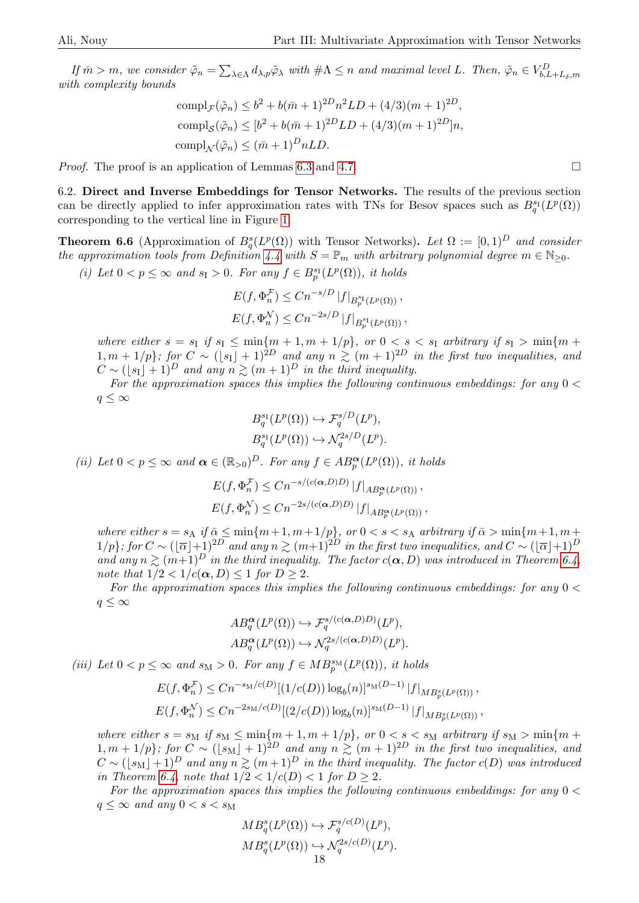If  $\bar{m} > m$ , we consider  $\tilde{\varphi}_n = \sum_{\lambda \in \Lambda} d_{\lambda, p} \tilde{\varphi}_{\lambda}$  with  $\#\Lambda \leq n$  and maximal level L. Then,  $\tilde{\varphi}_n \in V_{b,L+L_{\delta},m}^D$ with complexity bounds

comp
$$
l_{\mathcal{F}}(\tilde{\varphi}_n) \leq b^2 + b(\bar{m} + 1)^{2D} n^2 L D + (4/3)(m+1)^{2D},
$$
  
comp $l_{\mathcal{S}}(\tilde{\varphi}_n) \leq [b^2 + b(\bar{m} + 1)^{2D} L D + (4/3)(m+1)^{2D}]n,$   
comp $l_{\mathcal{N}}(\tilde{\varphi}_n) \leq (\bar{m} + 1)^D n L D.$ 

*Proof.* The proof is an application of Lemmas [6.3](#page-15-1) and [4.7.](#page-7-1)  $\Box$ 

<span id="page-17-0"></span>6.2. Direct and Inverse Embeddings for Tensor Networks. The results of the previous section can be directly applied to infer approximation rates with TNs for Besov spaces such as  $B_q^{s_1}(L^p(\Omega))$ corresponding to the vertical line in Figure [1.](#page-1-1)

<span id="page-17-1"></span>**Theorem 6.6** (Approximation of  $B_q^s(L^p(\Omega))$  with Tensor Networks). Let  $\Omega := [0,1)^D$  and consider the approximation tools from Definition [4.4](#page-6-8) with  $S = \mathbb{P}_m$  with arbitrary polynomial degree  $m \in \mathbb{N}_{\geq 0}$ .

(i) Let  $0 < p \le \infty$  and  $s_{\rm I} > 0$ . For any  $f \in B_p^{s_{\rm I}}(L^p(\Omega))$ , it holds

$$
E(f, \Phi_n^{\mathcal{F}}) \le Cn^{-s/D} |f|_{B_p^{s_1}(L^p(\Omega))},
$$
  

$$
E(f, \Phi_n^{\mathcal{N}}) \le Cn^{-2s/D} |f|_{B_p^{s_1}(L^p(\Omega))},
$$

where either  $s = s<sub>I</sub>$  if  $s<sub>I</sub> \leq \min\{m + 1, m + 1/p\}$ , or  $0 < s < s<sub>I</sub>$  arbitrary if  $s<sub>I</sub> > \min\{m + 1/p\}$  $1, m + 1/p$ ; for  $C \sim (\lfloor s_1 \rfloor + 1)^{2D}$  and any  $n \gtrsim (m + 1)^{2D}$  in the first two inequalities, and  $C \sim (\lfloor s_1 \rfloor + 1)^D$  and any  $n \gtrsim (m + 1)^D$  in the third inequality.

For the approximation spaces this implies the following continuous embeddings: for any  $0 <$  $q \leq \infty$ 

$$
B_q^{s_1}(L^p(\Omega)) \hookrightarrow \mathcal{F}_q^{s/D}(L^p),
$$
  

$$
B_q^{s_1}(L^p(\Omega)) \hookrightarrow \mathcal{N}_q^{2s/D}(L^p).
$$

(ii) Let  $0 < p \le \infty$  and  $\boldsymbol{\alpha} \in (\mathbb{R}_{>0})^D$ . For any  $f \in AB_p^{\boldsymbol{\alpha}}(L^p(\Omega))$ , it holds

$$
E(f, \Phi_n^{\mathcal{F}}) \le Cn^{-s/(c(\alpha, D)D)} |f|_{AB_p^{\alpha}(L^p(\Omega))},
$$
  

$$
E(f, \Phi_n^{\mathcal{N}}) \le Cn^{-2s/(c(\alpha, D)D)} |f|_{AB_p^{\alpha}(L^p(\Omega))},
$$

where either  $s = s_A$  if  $\bar{\alpha} \le \min\{m+1, m+1/p\}$ , or  $0 < s < s_A$  arbitrary if  $\bar{\alpha} > \min\{m+1, m+1/p\}$  $1/p\}$ ; for  $C \sim (|\overline{\alpha}|+1)^{2D}$  and any  $n \gtrsim (m+1)^{2D}$  in the first two inequalities, and  $C \sim (|\overline{\alpha}|+1)^{D}$ and any  $n \geq (m+1)^D$  in the third inequality. The factor  $c(\alpha, D)$  was introduced in Theorem [6.4,](#page-16-1) note that  $1/2 < 1/c(\alpha, D) \leq 1$  for  $D \geq 2$ .

For the approximation spaces this implies the following continuous embeddings: for any  $0 <$  $q \leq \infty$ 

$$
AB_q^{\alpha}(L^p(\Omega)) \hookrightarrow \mathcal{F}_q^{s/(c(\alpha,D)D)}(L^p),
$$
  

$$
AB_q^{\alpha}(L^p(\Omega)) \hookrightarrow \mathcal{N}_q^{2s/(c(\alpha,D)D)}(L^p).
$$

(iii) Let  $0 < p \le \infty$  and  $s_M > 0$ . For any  $f \in MB_p^{s_M}(L^p(\Omega))$ , it holds

$$
E(f, \Phi_n^{\mathcal{F}}) \le Cn^{-s_M/c(D)} [(1/c(D)) \log_b(n)]^{s_M(D-1)} |f|_{MB_p^s(L^p(\Omega))},
$$
  

$$
E(f, \Phi_n^{\mathcal{N}}) \le Cn^{-2s_M/c(D)} [(2/c(D)) \log_b(n)]^{s_M(D-1)} |f|_{MB_p^s(L^p(\Omega))},
$$

where either  $s = s_M$  if  $s_M \leq \min\{m+1, m+1/p\}$ , or  $0 < s < s_M$  arbitrary if  $s_M > \min\{m+1, m+1/p\}$  $1, m + 1/p$ ; for  $C \sim (s_M + 1)^{2D}$  and any  $n \gtrsim (m + 1)^{2D}$  in the first two inequalities, and  $C \sim (\lfloor s_M \rfloor + 1)^D$  and any  $n \gtrsim (m + 1)^D$  in the third inequality. The factor  $c(D)$  was introduced in Theorem [6.4,](#page-16-1) note that  $1/2 < 1/c(D) < 1$  for  $D \ge 2$ .

For the approximation spaces this implies the following continuous embeddings: for any  $0 <$  $q \leq \infty$  and any  $0 < s < s_M$ 

$$
MB_q^s(L^p(\Omega)) \hookrightarrow \mathcal{F}_q^{s/c(D)}(L^p),
$$
  
\n
$$
MB_q^s(L^p(\Omega)) \hookrightarrow \mathcal{N}_q^{2s/c(D)}(L^p).
$$
  
\n18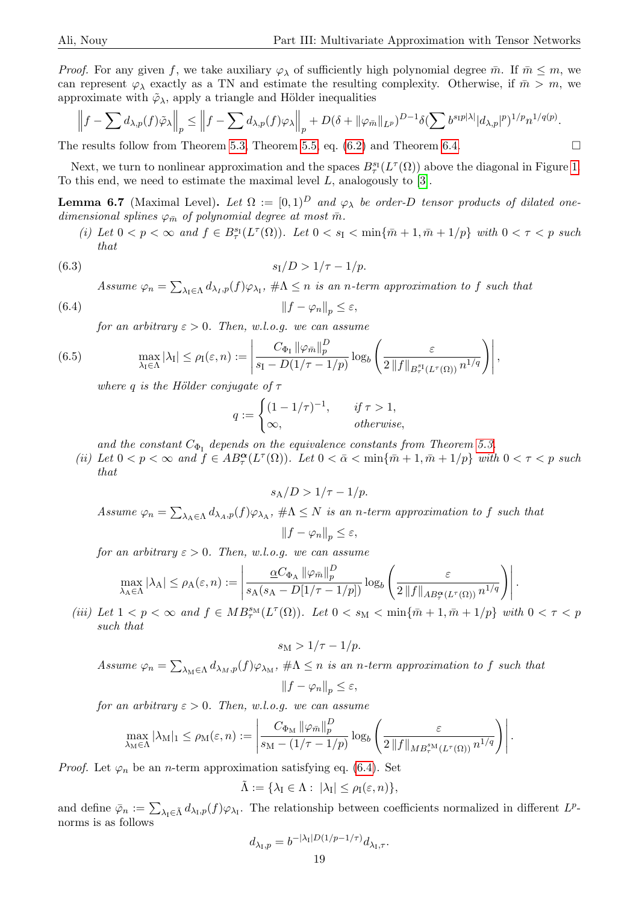*Proof.* For any given f, we take auxiliary  $\varphi_{\lambda}$  of sufficiently high polynomial degree  $\bar{m}$ . If  $\bar{m} \leq m$ , we can represent  $\varphi_{\lambda}$  exactly as a TN and estimate the resulting complexity. Otherwise, if  $\bar{m} > m$ , we approximate with  $\tilde{\varphi}_{\lambda}$ , apply a triangle and Hölder inequalities

$$
\left\|f-\sum d_{\lambda,p}(f)\tilde{\varphi}_{\lambda}\right\|_{p}\leq \left\|f-\sum d_{\lambda,p}(f)\varphi_{\lambda}\right\|_{p}+D(\delta+\|\varphi_{\bar{m}}\|_{L^{p}})^{D-1}\delta(\sum b^{s_{1}p|\lambda|}|d_{\lambda,p}|^{p})^{1/p}n^{1/q(p)}.
$$

The results follow from Theorem [5.3,](#page-11-2) Theorem [5.5,](#page-12-2) eq.  $(6.2)$  and Theorem [6.4.](#page-16-1)

Next, we turn to nonlinear approximation and the spaces  $B^{s_1}_\tau(L^\tau(\Omega))$  above the diagonal in Figure [1.](#page-1-1) To this end, we need to estimate the maximal level L, analogously to [\[3\]](#page-21-1).

<span id="page-18-3"></span>**Lemma 6.7** (Maximal Level). Let  $\Omega := [0,1)^D$  and  $\varphi_{\lambda}$  be order-D tensor products of dilated onedimensional splines  $\varphi_{\bar{m}}$  of polynomial degree at most  $\bar{m}$ .

(i) Let  $0 < p < \infty$  and  $f \in B^{\mathrm{st}}_{\tau}(L^{\tau}(\Omega))$ . Let  $0 < s_{\mathcal{I}} < \min\{\bar{m}+1,\bar{m}+1/p\}$  with  $0 < \tau < p$  such that

<span id="page-18-1"></span>(6.3) 
$$
s_1/D > 1/\tau - 1/p
$$
.

Assume  $\varphi_n = \sum_{\lambda_I \in \Lambda} d_{\lambda_I, p}(f) \varphi_{\lambda_I}, \# \Lambda \leq n$  is an n-term approximation to f such that

<span id="page-18-0"></span>
$$
(6.4) \t\t\t\t\t||f - \varphi_n||_p \le \varepsilon,
$$

for an arbitrary  $\varepsilon > 0$ . Then, w.l.o.g. we can assume

<span id="page-18-2"></span>(6.5) 
$$
\max_{\lambda_I \in \Lambda} |\lambda_I| \leq \rho_I(\varepsilon, n) := \left| \frac{C_{\Phi_I} \left\| \varphi_{\bar{m}} \right\|_p^D}{s_I - D(1/\tau - 1/p)} \log_b \left( \frac{\varepsilon}{2 \left\| f \right\|_{B_{\tau}^{s_I}(L^{\tau}(\Omega))} n^{1/q}} \right) \right|,
$$

where q is the Hölder conjugate of  $\tau$ 

$$
q := \begin{cases} (1 - 1/\tau)^{-1}, & \text{if } \tau > 1, \\ \infty, & \text{otherwise,} \end{cases}
$$

and the constant  $C_{\Phi_I}$  depends on the equivalence constants from Theorem [5.3.](#page-11-2)

(ii) Let  $0 < p < \infty$  and  $f \in AB^{\alpha}_{\tau}(L^{\tau}(\Omega))$ . Let  $0 < \bar{\alpha} < \min\{\bar{m} + 1, \bar{m} + 1/p\}$  with  $0 < \tau < p$  such that

$$
s_{\rm A}/D > 1/\tau - 1/p.
$$

Assume  $\varphi_n = \sum_{\lambda_A \in \Lambda} d_{\lambda_A, p}(f) \varphi_{\lambda_A}, \# \Lambda \leq N$  is an n-term approximation to f such that  $||f - \varphi_n||_p \leq \varepsilon$ ,

for an arbitrary  $\varepsilon > 0$ . Then, w.l.o.g. we can assume

$$
\max_{\lambda_A \in \Lambda} |\lambda_A| \le \rho_A(\varepsilon, n) := \left| \frac{\alpha C_{\Phi_A} \left\| \varphi_{\bar{m}} \right\|_p^D}{s_A(s_A - D[1/\tau - 1/p])} \log_b \left( \frac{\varepsilon}{2 \left\| f \right\|_{AB_{\tau}^{\alpha}(L^{\tau}(\Omega))} n^{1/q}} \right) \right|.
$$

(iii) Let  $1 < p < \infty$  and  $f \in MB^{s_M}_{\tau}(L^{\tau}(\Omega))$ . Let  $0 < s_M < \min{\lbrace \bar{m} + 1, \bar{m} + 1/p \rbrace}$  with  $0 < \tau < p$ such that

$$
s_{\rm M} > 1/\tau - 1/p.
$$

Assume 
$$
\varphi_n = \sum_{\lambda_M \in \Lambda} d_{\lambda_M, p}(f) \varphi_{\lambda_M}, \# \Lambda \leq n
$$
 is an *n-term approximation to f such that*  

$$
||f - \varphi_n||_p \leq \varepsilon,
$$

for an arbitrary  $\varepsilon > 0$ . Then, w.l.o.g. we can assume

$$
\max_{\lambda_{\mathrm{M}} \in \Lambda} |\lambda_{\mathrm{M}}|_{1} \leq \rho_{\mathrm{M}}(\varepsilon, n) := \left| \frac{C_{\Phi_{\mathrm{M}}} ||\varphi_{\bar{m}}||_{p}^{D}}{s_{\mathrm{M}} - (1/\tau - 1/p)} \log_{b} \left( \frac{\varepsilon}{2 ||f||_{MB_{\tau}^{s_{\mathrm{M}}}(L^{\tau}(\Omega))} n^{1/q}} \right) \right|.
$$

*Proof.* Let  $\varphi_n$  be an *n*-term approximation satisfying eq. [\(6.4\)](#page-18-0). Set

$$
\tilde{\Lambda} := \{ \lambda_I \in \Lambda : \ |\lambda_I| \le \rho_I(\varepsilon, n) \},
$$

and define  $\bar{\varphi}_n := \sum_{\lambda_I \in \tilde{\Lambda}} d_{\lambda_I, p}(f) \varphi_{\lambda_I}$ . The relationship between coefficients normalized in different  $L^p$ norms is as follows

$$
d_{\lambda_{\rm I},p} = b^{-|\lambda_{\rm I}| D(1/p - 1/\tau)} d_{\lambda_{\rm I},\tau}.
$$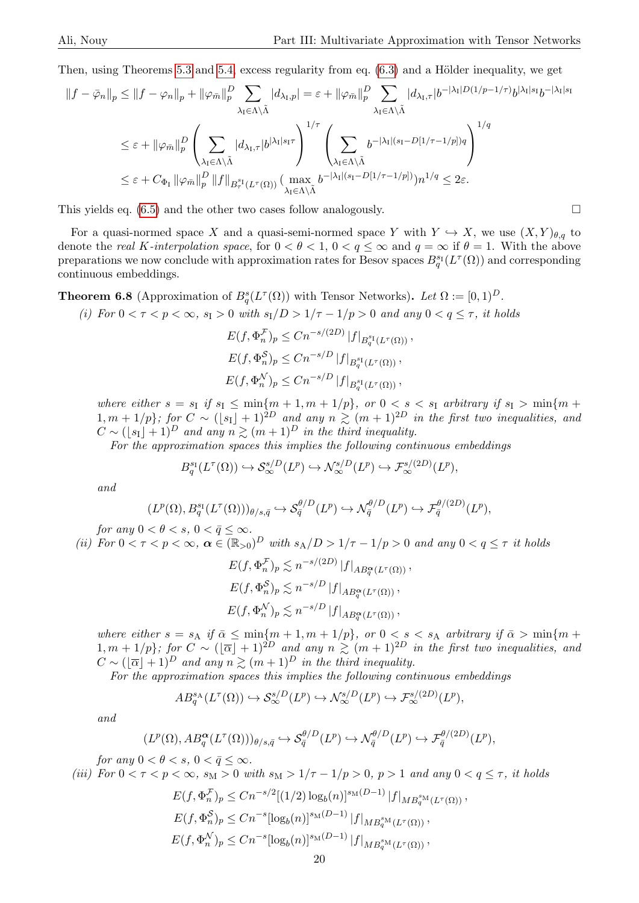Then, using Theorems [5.3](#page-11-2) and [5.4,](#page-12-0) excess regularity from eq.  $(6.3)$  and a Hölder inequality, we get

$$
\begin{split} \left\|f-\bar{\varphi}_{n}\right\|_{p} &\leq \left\|f-\varphi_{n}\right\|_{p}+\left\|\varphi_{\bar{m}}\right\|_{p}^{D} \sum_{\lambda_{\mathrm{I}}\in\Lambda\backslash\tilde{\Lambda}}\left|d_{\lambda_{\mathrm{I}},p}\right|=\varepsilon+\left\|\varphi_{\bar{m}}\right\|_{p}^{D} \sum_{\lambda_{\mathrm{I}}\in\Lambda\backslash\tilde{\Lambda}}\left|d_{\lambda_{\mathrm{I}},\tau}\right|b^{-\left|\lambda_{\mathrm{I}}\right|D\left(1/p-1/\tau\right)}b^{\left|\lambda_{\mathrm{I}}\right|s_{\mathrm{I}}}b^{-\left|\lambda_{\mathrm{I}}\right|s_{\mathrm{I}}}b^{-\left|\lambda_{\mathrm{I}}\right|s_{\mathrm{I}}}b^{-\left|\lambda_{\mathrm{I}}\right|s_{\mathrm{I}}}b^{-\left|\lambda_{\mathrm{I}}\right|s_{\mathrm{I}}}b^{-\left|\lambda_{\mathrm{I}}\right|s_{\mathrm{I}}}b^{-\left|\lambda_{\mathrm{I}}\right|s_{\mathrm{I}}}b^{-\left|\lambda_{\mathrm{I}}\right|s_{\mathrm{I}}}b^{-\left|\lambda_{\mathrm{I}}\right|s_{\mathrm{I}}}b^{-\left|\lambda_{\mathrm{I}}\right|s_{\mathrm{I}}}b^{-\left|\lambda_{\mathrm{I}}\right|s_{\mathrm{I}}}b^{-\left|\lambda_{\mathrm{I}}\right|s_{\mathrm{I}}}b^{-\left|\lambda_{\mathrm{I}}\right|s_{\mathrm{I}}}b^{-\left|\lambda_{\mathrm{I}}\right|s_{\mathrm{I}}}b^{-\left|\lambda_{\mathrm{I}}\right|s_{\mathrm{I}}}b^{-\left|\lambda_{\mathrm{I}}\right|s_{\mathrm{I}}}b^{-\left|\lambda_{\mathrm{I}}\right|s_{\mathrm{I}}}b^{-\left|\lambda_{\mathrm{I}}\right|s_{\mathrm{I}}}b^{-\left|\lambda_{\mathrm{I}}\right|s_{\mathrm{I}}}b^{-\left|\lambda_{\mathrm{I}}\right|s_{\mathrm{I}}}b^{-\left|\lambda_{\mathrm{I}}\right|s_{\mathrm{I}}}b^{-\left|\lambda_{\mathrm{I}}\right|s_{\mathrm{I}}}b^{-\left|\lambda_{\mathrm{I}}\right|s_{\mathrm{I}}}b^{-\left|\lambda_{\mathrm{I}}\right|s_{\mathrm{I}}}b^{-\left|\lambda_{\mathrm{I}}\right|s_{\mathrm{I}}}b^{-\left|\lambda
$$

This yields eq.  $(6.5)$  and the other two cases follow analogously.

For a quasi-normed space X and a quasi-semi-normed space Y with  $Y \hookrightarrow X$ , we use  $(X, Y)_{\theta, q}$  to denote the real K-interpolation space, for  $0 < \theta < 1$ ,  $0 < q \leq \infty$  and  $q = \infty$  if  $\theta = 1$ . With the above preparations we now conclude with approximation rates for Besov spaces  $B_q^{s_1}(L^{\tau}(\Omega))$  and corresponding continuous embeddings.

<span id="page-19-0"></span>**Theorem 6.8** (Approximation of  $B_q^s(L^{\tau}(\Omega))$  with Tensor Networks). Let  $\Omega := [0,1)^D$ .

(i) For  $0 < \tau < p < \infty$ ,  $s_1 > 0$  with  $s_1/D > 1/\tau - 1/p > 0$  and any  $0 < q \leq \tau$ , it holds

$$
E(f, \Phi_n^{\mathcal{F}})_p \le Cn^{-s/(2D)} |f|_{B_q^{s_1}(L^{\tau}(\Omega))},
$$
  
\n
$$
E(f, \Phi_n^{\mathcal{S}})_p \le Cn^{-s/D} |f|_{B_q^{s_1}(L^{\tau}(\Omega))},
$$
  
\n
$$
E(f, \Phi_n^{\mathcal{N}})_p \le Cn^{-s/D} |f|_{B_q^{s_1}(L^{\tau}(\Omega))},
$$

where either  $s = s<sub>I</sub>$  if  $s<sub>I</sub> \leq \min\{m + 1, m + 1/p\}$ , or  $0 < s < s<sub>I</sub>$  arbitrary if  $s<sub>I</sub> > \min\{m + 1/p\}$  $1, m + 1/p$ ; for  $C \sim (\lfloor s_1 \rfloor + 1)^{2D}$  and any  $n \gtrsim (m + 1)^{2D}$  in the first two inequalities, and  $C \sim (\lfloor s_1 \rfloor + 1)^D$  and any  $n \gtrsim (m + 1)^D$  in the third inequality.

For the approximation spaces this implies the following continuous embeddings

$$
B_q^{s_1}(L^{\tau}(\Omega)) \hookrightarrow \mathcal{S}_{\infty}^{s/D}(L^p) \hookrightarrow \mathcal{N}_{\infty}^{s/D}(L^p) \hookrightarrow \mathcal{F}_{\infty}^{s/(2D)}(L^p),
$$

and

$$
(L^p(\Omega), B_q^{s_1}(L^{\tau}(\Omega)))_{\theta/s,\bar{q}} \hookrightarrow \mathcal{S}_{\bar{q}}^{\theta/D}(L^p) \hookrightarrow \mathcal{N}_{\bar{q}}^{\theta/D}(L^p) \hookrightarrow \mathcal{F}_{\bar{q}}^{\theta/(2D)}(L^p),
$$

for any  $0 < \theta < s$ ,  $0 < \bar{q} \leq \infty$ .

(ii) For  $0 < \tau < p < \infty$ ,  $\alpha \in (\mathbb{R}_{>0})^D$  with  $s_A/D > 1/\tau - 1/p > 0$  and any  $0 < q \leq \tau$  it holds

$$
E(f, \Phi_n^{\mathcal{F}})_p \lesssim n^{-s/(2D)} |f|_{AB_q^{\alpha}(L^{\tau}(\Omega))},
$$
  

$$
E(f, \Phi_n^{\mathcal{S}})_p \lesssim n^{-s/D} |f|_{AB_q^{\alpha}(L^{\tau}(\Omega))},
$$
  

$$
E(f, \Phi_n^{\mathcal{N}})_p \lesssim n^{-s/D} |f|_{AB_q^{\alpha}(L^{\tau}(\Omega))},
$$

where either  $s = s_A$  if  $\bar{\alpha} \le \min\{m + 1, m + 1/p\}$ , or  $0 < s < s_A$  arbitrary if  $\bar{\alpha} > \min\{m + 1/p\}$  $1, m + 1/p$ ; for  $C \sim (|\overline{\alpha}| + 1)^{2D}$  and any  $n \geq (m + 1)^{2D}$  in the first two inequalities, and  $C \sim (|\overline{\alpha}| + 1)^D$  and any  $n \gtrsim (m + 1)^D$  in the third inequality.

For the approximation spaces this implies the following continuous embeddings

$$
AB_q^{s_A}(L^{\tau}(\Omega)) \hookrightarrow \mathcal{S}_{\infty}^{s/D}(L^p) \hookrightarrow \mathcal{N}_{\infty}^{s/D}(L^p) \hookrightarrow \mathcal{F}_{\infty}^{s/(2D)}(L^p),
$$

and

$$
(L^p(\Omega), AB_q^{\alpha}(L^{\tau}(\Omega)))_{\theta/s,\bar{q}} \hookrightarrow \mathcal{S}_{\bar{q}}^{\theta/D}(L^p) \hookrightarrow \mathcal{N}_{\bar{q}}^{\theta/D}(L^p) \hookrightarrow \mathcal{F}_{\bar{q}}^{\theta/(2D)}(L^p),
$$

for any  $0 < \theta < s$ ,  $0 < \bar{q} \leq \infty$ .

(iii) For  $0 < \tau < p < \infty$ ,  $s_M > 0$  with  $s_M > 1/\tau - 1/p > 0$ ,  $p > 1$  and any  $0 < q \leq \tau$ , it holds

$$
E(f, \Phi_n^{\mathcal{F}})_p \le Cn^{-s/2}[(1/2)\log_b(n)]^{s_{\mathcal{M}}(D-1)} |f|_{MB_q^{s_{\mathcal{M}}}(L^{\tau}(\Omega))},
$$
  
\n
$$
E(f, \Phi_n^{\mathcal{S}})_p \le Cn^{-s}[\log_b(n)]^{s_{\mathcal{M}}(D-1)} |f|_{MB_q^{s_{\mathcal{M}}}(L^{\tau}(\Omega))},
$$
  
\n
$$
E(f, \Phi_n^{\mathcal{N}})_p \le Cn^{-s}[\log_b(n)]^{s_{\mathcal{M}}(D-1)} |f|_{MB_q^{s_{\mathcal{M}}}(L^{\tau}(\Omega))},
$$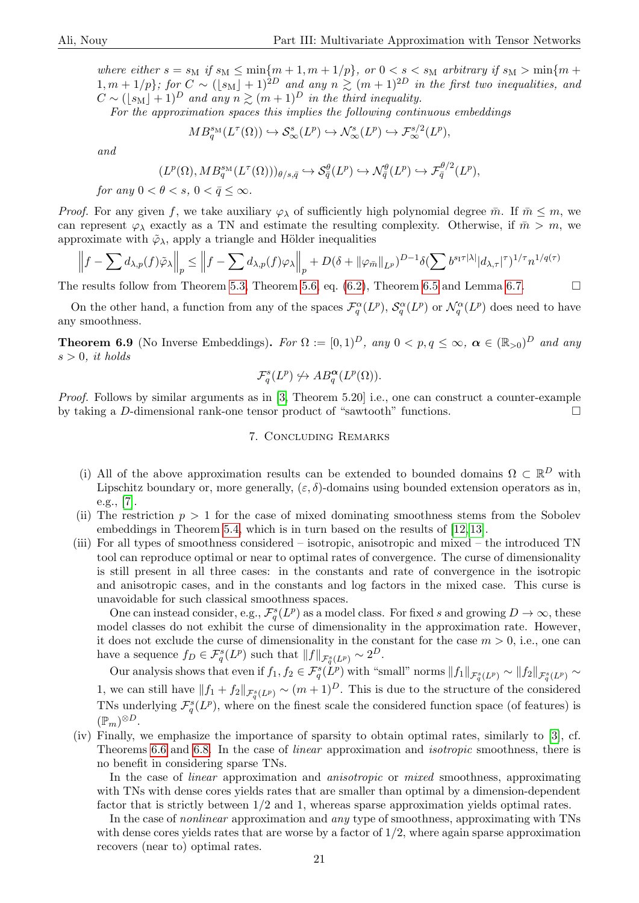where either  $s = s_M$  if  $s_M \leq \min\{m+1, m+1/p\}$ , or  $0 < s < s_M$  arbitrary if  $s_M > \min\{m+1, m+1/p\}$  $1, m + 1/p$ ; for  $C \sim (\lfloor s_M \rfloor + 1)^{2D}$  and any  $n \geq (m + 1)^{2D}$  in the first two inequalities, and  $C \sim (\lfloor s_M \rfloor + 1)^D$  and any  $n \gtrsim (m+1)^D$  in the third inequality.

For the approximation spaces this implies the following continuous embeddings

$$
MB_q^{s_M}(L^{\tau}(\Omega)) \hookrightarrow \mathcal{S}_{\infty}^s(L^p) \hookrightarrow \mathcal{N}_{\infty}^s(L^p) \hookrightarrow \mathcal{F}_{\infty}^{s/2}(L^p),
$$

and

$$
(L^p(\Omega), MB_q^{s_M}(L^{\tau}(\Omega)))_{\theta/s,\bar{q}} \hookrightarrow \mathcal{S}_{\bar{q}}^{\theta}(L^p) \hookrightarrow \mathcal{N}_{\bar{q}}^{\theta}(L^p) \hookrightarrow \mathcal{F}_{\bar{q}}^{\theta/2}(L^p),
$$

for any  $0 < \theta < s$ ,  $0 < \bar{q} < \infty$ .

*Proof.* For any given f, we take auxiliary  $\varphi_{\lambda}$  of sufficiently high polynomial degree  $\bar{m}$ . If  $\bar{m} \leq m$ , we can represent  $\varphi_{\lambda}$  exactly as a TN and estimate the resulting complexity. Otherwise, if  $\bar{m} > m$ , we approximate with  $\tilde{\varphi}_{\lambda}$ , apply a triangle and Hölder inequalities

$$
\left\|f - \sum d_{\lambda,p}(f)\tilde{\varphi}_{\lambda}\right\|_{p} \le \left\|f - \sum d_{\lambda,p}(f)\varphi_{\lambda}\right\|_{p} + D(\delta + \|\varphi_{\bar{m}}\|_{L^{p}})^{D-1}\delta(\sum b^{s_{1}\tau|\lambda|}|d_{\lambda,\tau}|^{\tau})^{1/\tau}n^{1/q(\tau)}
$$

The results follow from Theorem [5.3,](#page-11-2) Theorem [5.6,](#page-13-2) eq.  $(6.2)$ , Theorem [6.5](#page-16-2) and Lemma [6.7.](#page-18-3)

On the other hand, a function from any of the spaces  $\mathcal{F}_q^{\alpha}(L^p)$ ,  $\mathcal{S}_q^{\alpha}(L^p)$  or  $\mathcal{N}_q^{\alpha}(L^p)$  does need to have any smoothness.

**Theorem 6.9** (No Inverse Embeddings). For  $\Omega := [0,1)^D$ , any  $0 < p, q \le \infty$ ,  $\alpha \in (\mathbb{R}_{>0})^D$  and any  $s > 0$ , it holds

$$
\mathcal{F}_q^s(L^p) \nleftrightarrow AB_q^{\alpha}(L^p(\Omega)).
$$

<span id="page-20-0"></span>Proof. Follows by similar arguments as in [\[3,](#page-21-1) Theorem 5.20] i.e., one can construct a counter-example by taking a D-dimensional rank-one tensor product of "sawtooth" functions.

## 7. Concluding Remarks

- (i) All of the above approximation results can be extended to bounded domains  $\Omega \subset \mathbb{R}^D$  with Lipschitz boundary or, more generally,  $(\varepsilon, \delta)$ -domains using bounded extension operators as in, e.g., [\[7\]](#page-21-21).
- (ii) The restriction  $p > 1$  for the case of mixed dominating smoothness stems from the Sobolev embeddings in Theorem [5.4,](#page-12-0) which is in turn based on the results of [\[12,](#page-21-17) [13\]](#page-21-18).
- (iii) For all types of smoothness considered isotropic, anisotropic and mixed the introduced TN tool can reproduce optimal or near to optimal rates of convergence. The curse of dimensionality is still present in all three cases: in the constants and rate of convergence in the isotropic and anisotropic cases, and in the constants and log factors in the mixed case. This curse is unavoidable for such classical smoothness spaces.

One can instead consider, e.g.,  $\mathcal{F}_q^s(L^p)$  as a model class. For fixed s and growing  $D \to \infty$ , these model classes do not exhibit the curse of dimensionality in the approximation rate. However, it does not exclude the curse of dimensionality in the constant for the case  $m > 0$ , i.e., one can have a sequence  $f_D \in \mathcal{F}_q^s(L^p)$  such that  $||f||_{\mathcal{F}_q^s(L^p)} \sim 2^D$ .

Our analysis shows that even if  $f_1, f_2 \in \mathcal{F}_q^s(L^p)$  with "small" norms  $||f_1||_{\mathcal{F}_q^s(L^p)} \sim ||f_2||_{\mathcal{F}_q^s(L^p)} \sim$ 1, we can still have  $||f_1 + f_2||_{\mathcal{F}_q^s(L^p)} \sim (m+1)^D$ . This is due to the structure of the considered TNs underlying  $\mathcal{F}_{q}^{s}(L^{p}),$  where on the finest scale the considered function space (of features) is  $(\mathbb{P}_m)^{\otimes D}$ .

(iv) Finally, we emphasize the importance of sparsity to obtain optimal rates, similarly to [\[3\]](#page-21-1), cf. Theorems [6.6](#page-17-1) and [6.8.](#page-19-0) In the case of linear approximation and isotropic smoothness, there is no benefit in considering sparse TNs.

In the case of *linear* approximation and *anisotropic* or *mixed* smoothness, approximating with TNs with dense cores yields rates that are smaller than optimal by a dimension-dependent factor that is strictly between 1/2 and 1, whereas sparse approximation yields optimal rates.

In the case of *nonlinear* approximation and *any* type of smoothness, approximating with TNs with dense cores yields rates that are worse by a factor of  $1/2$ , where again sparse approximation recovers (near to) optimal rates.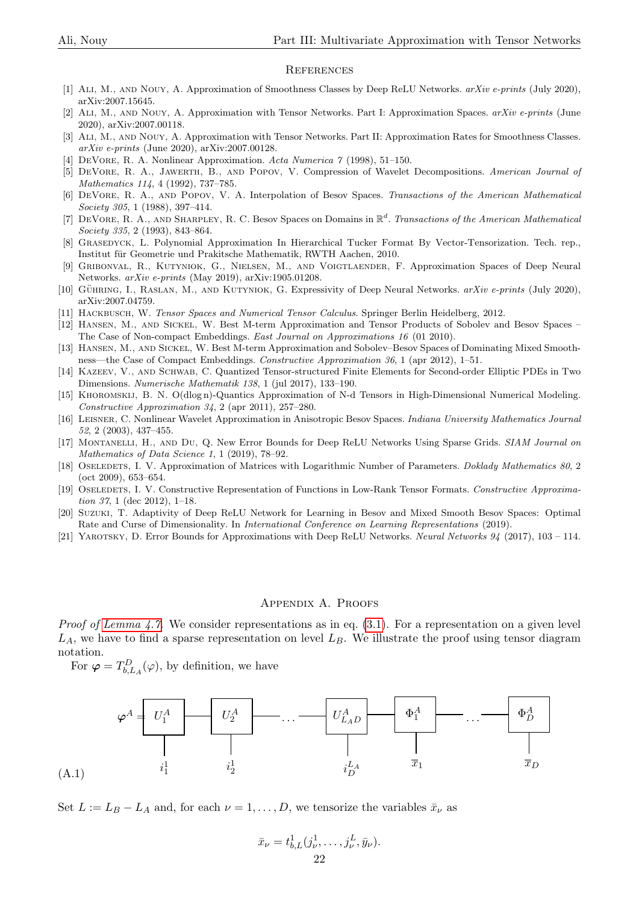#### **REFERENCES**

- <span id="page-21-9"></span>[1] Ali, M., and Nouy, A. Approximation of Smoothness Classes by Deep ReLU Networks. arXiv e-prints (July 2020), arXiv:2007.15645.
- <span id="page-21-0"></span>[2] Ali, M., and Nouy, A. Approximation with Tensor Networks. Part I: Approximation Spaces. arXiv e-prints (June 2020), arXiv:2007.00118.
- <span id="page-21-1"></span>[3] Ali, M., and Nouy, A. Approximation with Tensor Networks. Part II: Approximation Rates for Smoothness Classes. arXiv e-prints (June 2020), arXiv:2007.00128.
- <span id="page-21-8"></span>[4] DeVore, R. A. Nonlinear Approximation. Acta Numerica 7 (1998), 51–150.
- <span id="page-21-20"></span>[5] DeVore, R. A., Jawerth, B., and Popov, V. Compression of Wavelet Decompositions. American Journal of Mathematics 114, 4 (1992), 737–785.
- <span id="page-21-16"></span>[6] DeVore, R. A., and Popov, V. A. Interpolation of Besov Spaces. Transactions of the American Mathematical Society 305, 1 (1988), 397–414.
- <span id="page-21-21"></span>[7] DEVORE, R. A., AND SHARPLEY, R. C. Besov Spaces on Domains in  $\mathbb{R}^d$ . Transactions of the American Mathematical Society 335, 2 (1993), 843–864.
- <span id="page-21-5"></span>[8] Grasedyck, L. Polynomial Approximation In Hierarchical Tucker Format By Vector-Tensorization. Tech. rep., Institut für Geometrie und Prakitsche Mathematik, RWTH Aachen, 2010.
- <span id="page-21-10"></span>[9] Gribonval, R., Kutyniok, G., Nielsen, M., and Voigtlaender, F. Approximation Spaces of Deep Neural Networks. arXiv e-prints (May 2019), arXiv:1905.01208.
- <span id="page-21-11"></span>[10] GÜHRING, I., RASLAN, M., AND KUTYNIOK, G. Expressivity of Deep Neural Networks. arXiv e-prints (July 2020), arXiv:2007.04759.
- <span id="page-21-2"></span>[11] Hackbusch, W. Tensor Spaces and Numerical Tensor Calculus. Springer Berlin Heidelberg, 2012.
- <span id="page-21-17"></span>[12] Hansen, M., and Sickel, W. Best M-term Approximation and Tensor Products of Sobolev and Besov Spaces – The Case of Non-compact Embeddings. East Journal on Approximations 16 (01 2010).
- <span id="page-21-18"></span>[13] Hansen, M., and Sickel, W. Best M-term Approximation and Sobolev–Besov Spaces of Dominating Mixed Smoothness—the Case of Compact Embeddings. Constructive Approximation 36, 1 (apr 2012), 1–51.
- <span id="page-21-7"></span>[14] Kazeev, V., and Schwab, C. Quantized Tensor-structured Finite Elements for Second-order Elliptic PDEs in Two Dimensions. Numerische Mathematik 138, 1 (jul 2017), 133–190.
- <span id="page-21-4"></span>[15] Khoromskij, B. N. O(dlog n)-Quantics Approximation of N-d Tensors in High-Dimensional Numerical Modeling. Constructive Approximation 34, 2 (apr 2011), 257–280.
- <span id="page-21-19"></span>[16] Leisner, C. Nonlinear Wavelet Approximation in Anisotropic Besov Spaces. Indiana University Mathematics Journal 52, 2 (2003), 437–455.
- <span id="page-21-12"></span>[17] Montanelli, H., and Du, Q. New Error Bounds for Deep ReLU Networks Using Sparse Grids. SIAM Journal on Mathematics of Data Science 1, 1 (2019), 78–92.
- <span id="page-21-3"></span>[18] OSELEDETS, I. V. Approximation of Matrices with Logarithmic Number of Parameters. Doklady Mathematics 80, 2 (oct 2009), 653–654.
- <span id="page-21-6"></span>[19] OSELEDETS, I. V. Constructive Representation of Functions in Low-Rank Tensor Formats. Constructive Approximation 37, 1 (dec 2012), 1–18.
- <span id="page-21-13"></span>[20] Suzuki, T. Adaptivity of Deep ReLU Network for Learning in Besov and Mixed Smooth Besov Spaces: Optimal Rate and Curse of Dimensionality. In International Conference on Learning Representations (2019).
- <span id="page-21-14"></span>[21] Yarotsky, D. Error Bounds for Approximations with Deep ReLU Networks. Neural Networks 94 (2017), 103 – 114.

#### Appendix A. Proofs

<span id="page-21-15"></span>*Proof of [Lemma 4.7.](#page-7-1)* We consider representations as in eq.  $(3.1)$ . For a representation on a given level  $L_A$ , we have to find a sparse representation on level  $L_B$ . We illustrate the proof using tensor diagram notation.

For  $\boldsymbol{\varphi} = T_{b,L_A}^D(\varphi)$ , by definition, we have



<span id="page-21-22"></span>Set  $L := L_B - L_A$  and, for each  $\nu = 1, \ldots, D$ , we tensorize the variables  $\bar{x}_{\nu}$  as

$$
\bar{x}_{\nu} = t_{b,L}^1(j_{\nu}^1, \dots, j_{\nu}^L, \bar{y}_{\nu}).
$$
  
22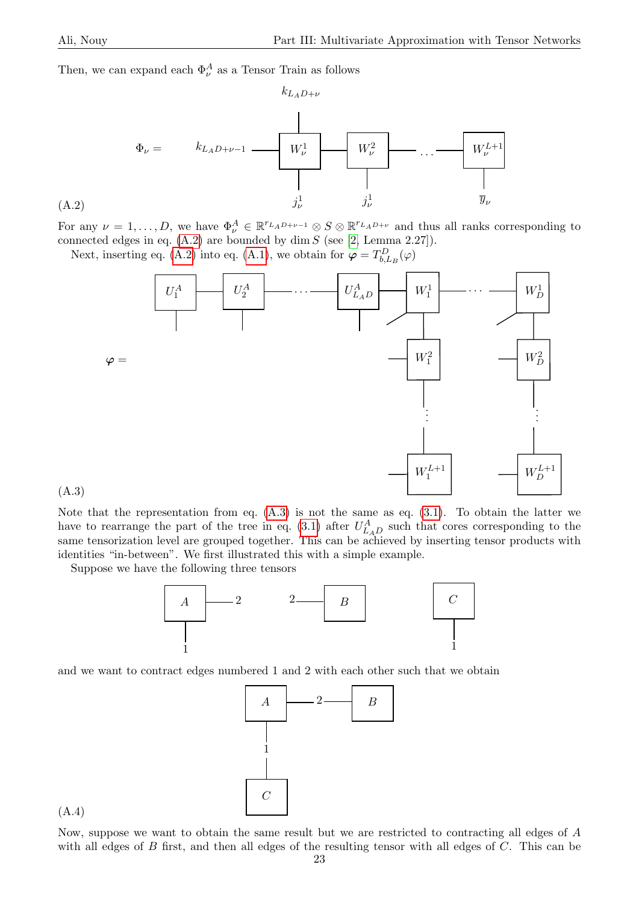Then, we can expand each  $\Phi_{\nu}^{A}$  as a Tensor Train as follows



For any  $\nu = 1, \ldots, D$ , we have  $\Phi_{\nu}^A \in \mathbb{R}^{r_{L_A}D+\nu-1} \otimes S \otimes \mathbb{R}^{r_{L_A}D+\nu}$  and thus all ranks corresponding to connected edges in eq.  $(A.2)$  are bounded by dim S (see [\[2,](#page-21-0) Lemma 2.27]).

Next, inserting eq. [\(A.2\)](#page-22-0) into eq. [\(A.1\)](#page-21-22), we obtain for  $\varphi = T_{b,L_B}^D(\varphi)$ 

<span id="page-22-0"></span>

<span id="page-22-1"></span>(A.3)

Note that the representation from eq.  $(A.3)$  is not the same as eq.  $(3.1)$ . To obtain the latter we have to rearrange the part of the tree in eq. [\(3.1\)](#page-5-3) after  $U_{LAD}^{A}$  such that cores corresponding to the same tensorization level are grouped together. This can be achieved by inserting tensor products with identities "in-between". We first illustrated this with a simple example.

Suppose we have the following three tensors



and we want to contract edges numbered 1 and 2 with each other such that we obtain

<span id="page-22-2"></span>

(A.4)

Now, suppose we want to obtain the same result but we are restricted to contracting all edges of A with all edges of B first, and then all edges of the resulting tensor with all edges of C. This can be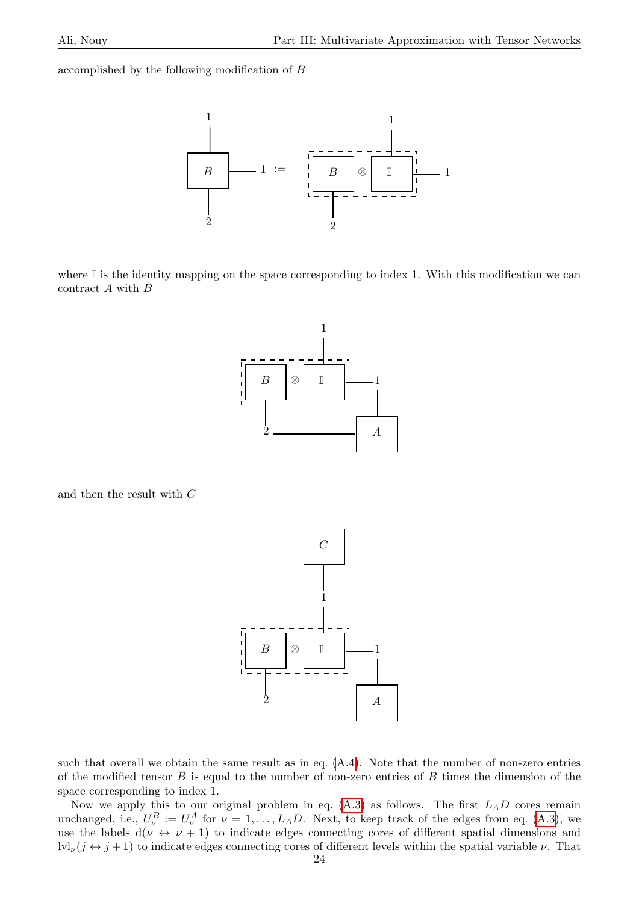accomplished by the following modification of B



where  $\mathbb I$  is the identity mapping on the space corresponding to index 1. With this modification we can contract A with  $\bar{B}$ 



and then the result with  $C$ 



such that overall we obtain the same result as in eq.  $(A.4)$ . Note that the number of non-zero entries of the modified tensor  $\bar{B}$  is equal to the number of non-zero entries of B times the dimension of the space corresponding to index 1.

Now we apply this to our original problem in eq.  $(A.3)$  as follows. The first  $L_A D$  cores remain unchanged, i.e.,  $U^B_\nu := U^A_\nu$  for  $\nu = 1, ..., L_A D$ . Next, to keep track of the edges from eq. [\(A.3\)](#page-22-1), we use the labels  $d(\nu \leftrightarrow \nu + 1)$  to indicate edges connecting cores of different spatial dimensions and  $\text{lvl}_{\nu}(j \leftrightarrow j+1)$  to indicate edges connecting cores of different levels within the spatial variable  $\nu$ . That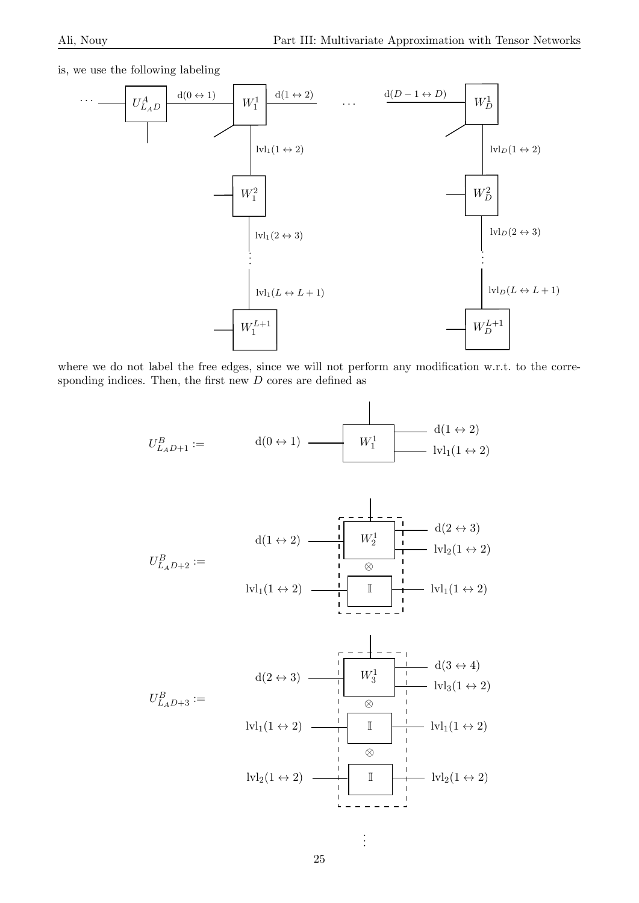is, we use the following labeling



where we do not label the free edges, since we will not perform any modification w.r.t. to the corresponding indices. Then, the first new  $D$  cores are defined as

$$
U_{L_A D+1}^B := \qquad \qquad \mathrm{d}(0 \leftrightarrow 1) \qquad \qquad W_1^1 \qquad \qquad \mathrm{d}(1 \leftrightarrow 2) \qquad \qquad \mathrm{lvl}_1(1 \leftrightarrow 2)
$$

d(2 ↔ 3) W<sup>1</sup> d(1 ↔ 2) <sup>2</sup> lvl2(1 ↔ 2) B U <sup>L</sup>AD+2 := ⊗ I lvl1(1 ↔ 2) lvl1(1 ↔ 2)



. . .

 $\vdots$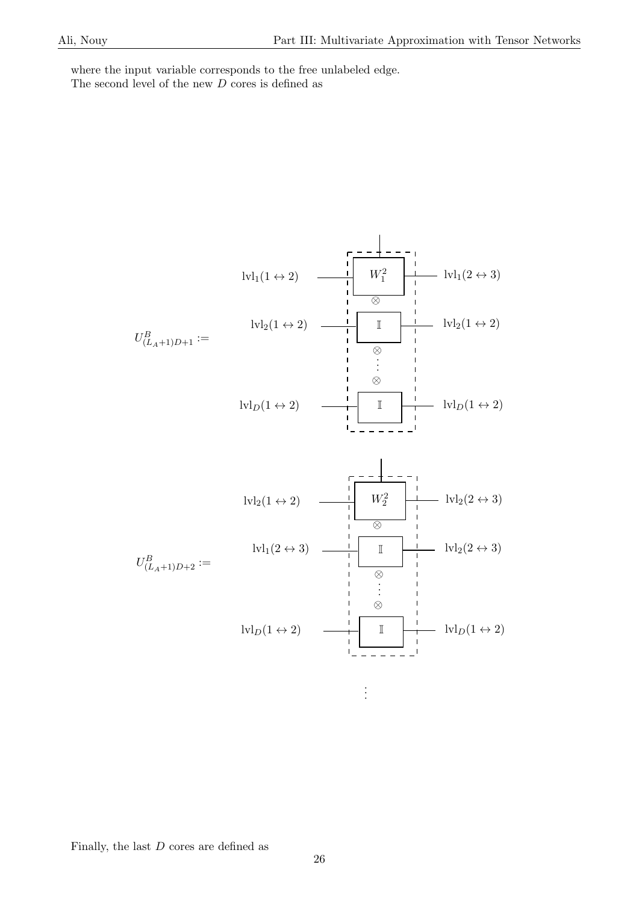where the input variable corresponds to the free unlabeled edge. The second level of the new  $D$  cores is defined as

$$
U_{(L_{A}+1)D+1}^{B} := \frac{1}{\sum_{i=1}^{N} U_{i}(1 \leftrightarrow 2)} \begin{array}{c|c|c|c|c} -\frac{1}{\sum_{i=1}^{N} U_{i}(2 \leftrightarrow 3)} & \frac{1}{\sum_{i=1}^{N} U_{i}(2 \leftrightarrow 3)} \\ \hline \frac{1}{\sum_{i=1}^{N} U_{i}(1 \leftrightarrow 2)} & \frac{1}{\sum_{i=1}^{N} U_{i}(1 \leftrightarrow 2)} & \frac{1}{\sum_{i=1}^{N} U_{i}(1 \leftrightarrow 2)} \\ \hline \frac{1}{\sum_{i=1}^{N} U_{i}(1 \leftrightarrow 2)} & \frac{1}{\sum_{i=1}^{N} U_{i}(1 \leftrightarrow 2)} & \frac{1}{\sum_{i=1}^{N} U_{i}(2 \leftrightarrow 3)} \\ \hline \frac{1}{\sum_{i=1}^{N} U_{i}(2 \leftrightarrow 3)} & \frac{1}{\sum_{i=1}^{N} U_{i}(2 \leftrightarrow 3)} & \frac{1}{\sum_{i=1}^{N} U_{i}(2 \leftrightarrow 3)} \\ \hline \frac{1}{\sum_{i=1}^{N} U_{i}(1 \leftrightarrow 2)} & \frac{1}{\sum_{i=1}^{N} U_{i}(1 \leftrightarrow 2)} & \frac{1}{\sum_{i=1}^{N} U_{i}(1 \leftrightarrow 2)} & \frac{1}{\sum_{i=1}^{N} U_{i}(1 \leftrightarrow 2)} \end{array}
$$

Finally, the last  $\boldsymbol{D}$  cores are defined as

. . .

 $\frac{1}{2}$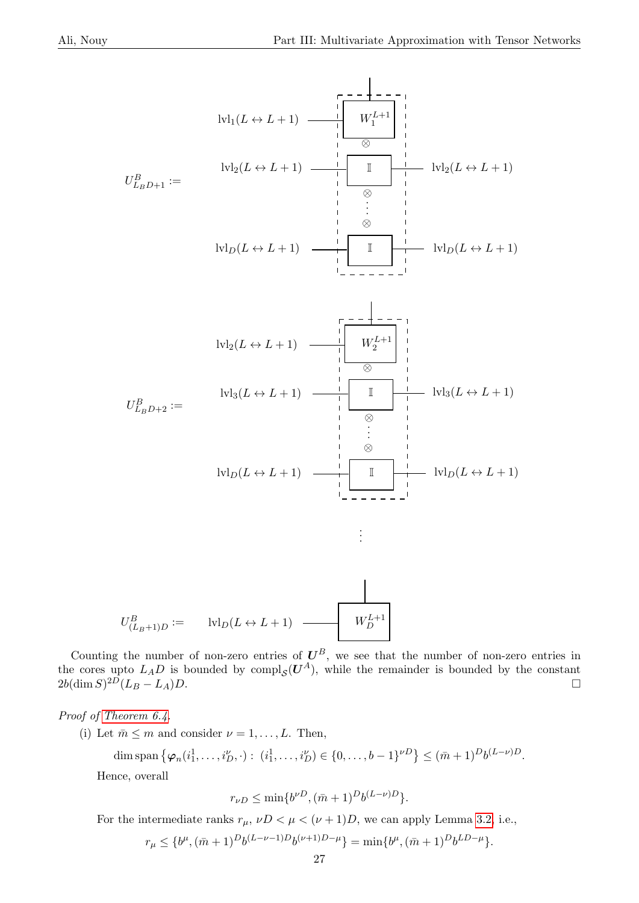

$$
U^B_{(L_B+1)D} := \qquad \text{lvl}_D(L \leftrightarrow L+1) \quad \longrightarrow \qquad W^{L+1}_D
$$

Counting the number of non-zero entries of  $U^B$ , we see that the number of non-zero entries in the cores upto  $L_A D$  is bounded by compl<sub>S</sub> $(U^A)$ , while the remainder is bounded by the constant  $2b(\dim S)^{2D}(L_B - L_A)D.$ 

<span id="page-26-0"></span>Proof of [Theorem 6.4.](#page-16-1)

(i) Let  $\bar{m} \leq m$  and consider  $\nu = 1, \ldots, L$ . Then,

$$
\dim \operatorname{span} \left\{ \varphi_n(i_1^1, \ldots, i_D^{\nu}, \cdot) : (i_1^1, \ldots, i_D^{\nu}) \in \{0, \ldots, b-1\}^{\nu D} \right\} \leq (\bar{m}+1)^D b^{(L-\nu)D}.
$$

Hence, overall

 $r_{\nu D} \le \min\{b^{\nu D}, (\bar{m}+1)^D b^{(L-\nu)D}\}.$ 

For the intermediate ranks  $r_{\mu}$ ,  $\nu D < \mu < (\nu + 1)D$ , we can apply Lemma [3.2,](#page-3-3) i.e.,

$$
r_{\mu} \leq \{b^{\mu}, (\bar{m}+1)^{D}b^{(L-\nu-1)D}b^{(\nu+1)D-\mu}\} = \min\{b^{\mu}, (\bar{m}+1)^{D}b^{LD-\mu}\}.
$$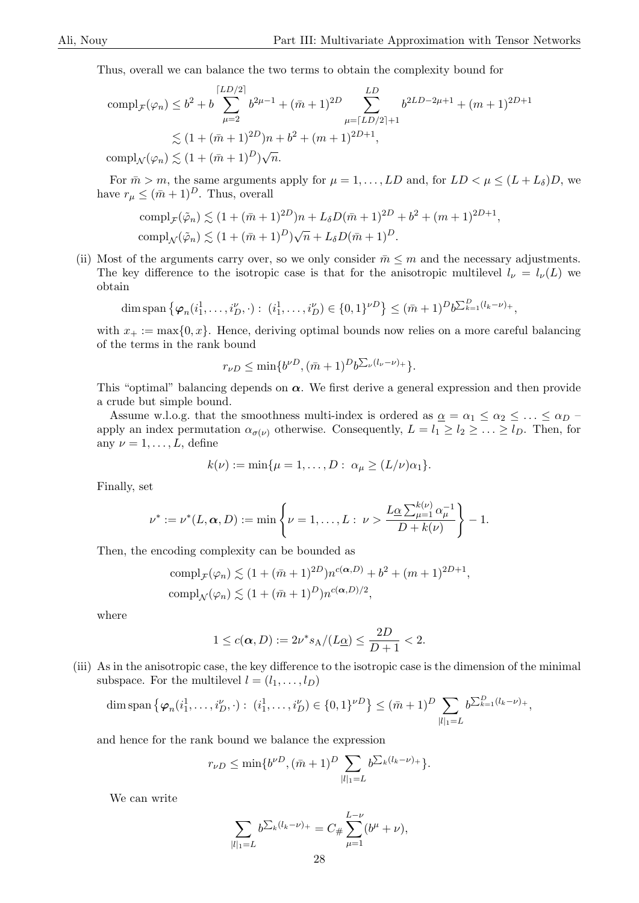Thus, overall we can balance the two terms to obtain the complexity bound for

$$
\operatorname{compl}_{\mathcal{F}}(\varphi_n) \le b^2 + b \sum_{\mu=2}^{\lceil LD/2 \rceil} b^{2\mu-1} + (\bar{m}+1)^{2D} \sum_{\mu=\lceil LD/2 \rceil+1}^{LD} b^{2LD-2\mu+1} + (m+1)^{2D+1}
$$
  

$$
\lesssim (1+(\bar{m}+1)^{2D})n + b^2 + (m+1)^{2D+1},
$$
  

$$
\operatorname{compl}_{\mathcal{N}}(\varphi_n) \le (1+(\bar{m}+1)^D)\sqrt{n}.
$$

 $\text{compl}_{\mathcal{N}}(\varphi_n) \lesssim (1 + (\bar{m} + 1)^{\nu})_{\mathcal{N}}$  $\overline{n}$ .

For  $\bar{m} > m$ , the same arguments apply for  $\mu = 1, \ldots, LD$  and, for  $LD < \mu \leq (L + L_{\delta})D$ , we have  $r_{\mu} \leq (\bar{m} + 1)^D$ . Thus, overall

$$
\text{compl}_{\mathcal{F}}(\tilde{\varphi}_n) \lesssim (1 + (\bar{m} + 1)^{2D})n + L_{\delta}D(\bar{m} + 1)^{2D} + b^2 + (m+1)^{2D+1},
$$
  
\n
$$
\text{compl}_{\mathcal{N}}(\tilde{\varphi}_n) \lesssim (1 + (\bar{m} + 1)^D)\sqrt{n} + L_{\delta}D(\bar{m} + 1)^D.
$$

(ii) Most of the arguments carry over, so we only consider  $\bar{m} \leq m$  and the necessary adjustments. The key difference to the isotropic case is that for the anisotropic multilevel  $l_{\nu} = l_{\nu}(L)$  we obtain

$$
\dim \operatorname{span} \left\{ \varphi_n(i_1^1, \ldots, i_D^{\nu}, \cdot) : (i_1^1, \ldots, i_D^{\nu}) \in \{0, 1\}^{\nu D} \right\} \leq (\bar{m} + 1)^D b^{\sum_{k=1}^D (l_k - \nu)_+},
$$

with  $x_+ := \max\{0, x\}$ . Hence, deriving optimal bounds now relies on a more careful balancing of the terms in the rank bound

$$
r_{\nu D} \le \min\{b^{\nu D}, (\bar{m}+1)^D b^{\sum_{\nu} (l_{\nu}-\nu)_+}\}.
$$

This "optimal" balancing depends on  $\alpha$ . We first derive a general expression and then provide a crude but simple bound.

Assume w.l.o.g. that the smoothness multi-index is ordered as  $\alpha = \alpha_1 \leq \alpha_2 \leq \ldots \leq \alpha_D$ apply an index permutation  $\alpha_{\sigma(\nu)}$  otherwise. Consequently,  $L = l_1 \geq l_2 \geq \ldots \geq l_D$ . Then, for any  $\nu = 1, \ldots, L$ , define

$$
k(\nu) := \min\{\mu = 1,\ldots,D: \alpha_{\mu} \ge (L/\nu)\alpha_1\}.
$$

Finally, set

$$
\nu^* := \nu^*(L, \alpha, D) := \min \left\{ \nu = 1, \dots, L : \nu > \frac{L_{\underline{\alpha}} \sum_{\mu=1}^{k(\nu)} \alpha_{\mu}^{-1}}{D + k(\nu)} \right\} - 1.
$$

Then, the encoding complexity can be bounded as

$$
compl_{\mathcal{F}}(\varphi_n) \lesssim (1 + (\bar{m} + 1)^{2D})n^{c(\alpha, D)} + b^2 + (m+1)^{2D+1},
$$
  
\n
$$
compl_{\mathcal{N}}(\varphi_n) \lesssim (1 + (\bar{m} + 1)^D)n^{c(\alpha, D)/2},
$$

where

$$
1 \le c(\alpha, D) := 2\nu^* s_A / (L_{{\underline{\alpha}}}) \le \frac{2D}{D+1} < 2.
$$

(iii) As in the anisotropic case, the key difference to the isotropic case is the dimension of the minimal subspace. For the multilevel  $l = (l_1, \ldots, l_D)$ 

$$
\dim \operatorname{span} \left\{ \varphi_n(i_1^1, \ldots, i_D^{\nu}, \cdot) : (i_1^1, \ldots, i_D^{\nu}) \in \{0, 1\}^{\nu D} \right\} \leq (\bar{m} + 1)^D \sum_{|l|_1 = L} b^{\sum_{k=1}^D (l_k - \nu)_+},
$$

and hence for the rank bound we balance the expression

$$
r_{\nu D} \le \min\{b^{\nu D}, (\bar{m}+1)^D \sum_{|l|=L} b^{\sum_k (l_k - \nu)_+}\}.
$$

We can write

$$
\sum_{|l|=L} b^{\sum_k (l_k - \nu)_+} = C_{\#} \sum_{\mu=1}^{L-\nu} (b^{\mu} + \nu),
$$